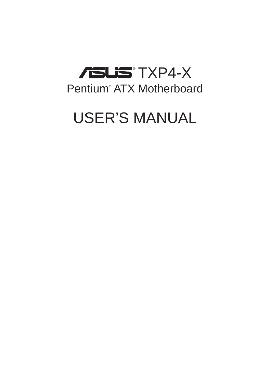# $\mathsf{P}$  TXP4-X Pentium® ATX Motherboard

# USER'S MANUAL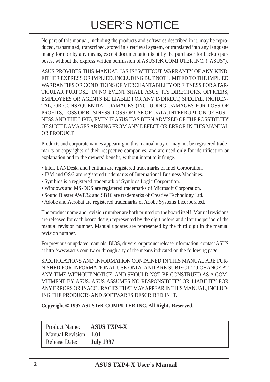# USER'S NOTICE

No part of this manual, including the products and softwares described in it, may be reproduced, transmitted, transcribed, stored in a retrieval system, or translated into any language in any form or by any means, except documentation kept by the purchaser for backup purposes, without the express written permission of ASUSTeK COMPUTER INC. ("ASUS").

ASUS PROVIDES THIS MANUAL "AS IS" WITHOUT WARRANTY OF ANY KIND, EITHER EXPRESS OR IMPLIED, INCLUDING BUT NOT LIMITED TO THE IMPLIED WARRANTIES OR CONDITIONS OF MERCHANTABILITY OR FITNESS FOR A PAR-TICULAR PURPOSE. IN NO EVENT SHALL ASUS, ITS DIRECTORS, OFFICERS, EMPLOYEES OR AGENTS BE LIABLE FOR ANY INDIRECT, SPECIAL, INCIDEN-TAL, OR CONSEQUENTIAL DAMAGES (INCLUDING DAMAGES FOR LOSS OF PROFITS, LOSS OF BUSINESS, LOSS OF USE OR DATA, INTERRUPTION OF BUSI-NESS AND THE LIKE), EVEN IF ASUS HAS BEEN ADVISED OF THE POSSIBILITY OF SUCH DAMAGES ARISING FROM ANY DEFECT OR ERROR IN THIS MANUAL OR PRODUCT.

Products and corporate names appearing in this manual may or may not be registered trademarks or copyrights of their respective companies, and are used only for identification or explanation and to the owners' benefit, without intent to infringe.

- Intel, LANDesk, and Pentium are registered trademarks of Intel Corporation.
- IBM and OS/2 are registered trademarks of International Business Machines.
- Symbios is a registered trademark of Symbios Logic Corporation.
- Windows and MS-DOS are registered trademarks of Microsoft Corporation.
- Sound Blaster AWE32 and SB16 are trademarks of Creative Technology Ltd.
- Adobe and Acrobat are registered trademarks of Adobe Systems Incorporated.

The product name and revision number are both printed on the board itself. Manual revisions are released for each board design represented by the digit before and after the period of the manual revision number. Manual updates are represented by the third digit in the manual revision number.

For previous or updated manuals, BIOS, drivers, or product release information, contact ASUS at http://www.asus.com.tw or through any of the means indicated on the following page.

SPECIFICATIONS AND INFORMATION CONTAINED IN THIS MANUAL ARE FUR-NISHED FOR INFORMATIONAL USE ONLY, AND ARE SUBJECT TO CHANGE AT ANY TIME WITHOUT NOTICE, AND SHOULD NOT BE CONSTRUED AS A COM-MITMENT BY ASUS. ASUS ASSUMES NO RESPONSIBLITY OR LIABILITY FOR ANY ERRORS OR INACCURACIES THAT MAY APPEAR IN THIS MANUAL, INCLUD-ING THE PRODUCTS AND SOFTWARES DESCRIBED IN IT.

**Copyright © 1997 ASUSTeK COMPUTER INC. All Rights Reserved.**

| <b>Product Name:</b>  | <b>ASUS TXP4-X</b> |
|-----------------------|--------------------|
| Manual Revision: 1.01 |                    |
| <b>Release Date:</b>  | <b>July 1997</b>   |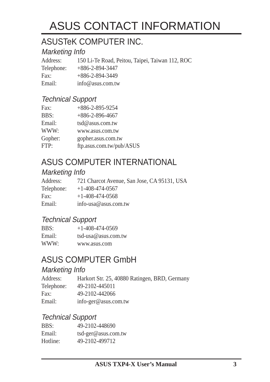# ASUS CONTACT INFORMATION

## ASUSTeK COMPUTER INC.

### Marketing Info

Address: 150 Li-Te Road, Peitou, Taipei, Taiwan 112, ROC Telephone: +886-2-894-3447 Fax: +886-2-894-3449 Email: info@asus.com.tw

### Technical Support

| Fax:    | $+886 - 2 - 895 - 9254$  |
|---------|--------------------------|
| BBS:    | $+886-2-896-4667$        |
| Email:  | tsd@asus.com.tw          |
| WWW:    | www.asus.com.tw          |
| Gopher: | gopher.asus.com.tw       |
| FTP:    | ftp.asus.com.tw/pub/ASUS |

## ASUS COMPUTER INTERNATIONAL

### Marketing Info

| Address:   | 721 Charcot Avenue, San Jose, CA 95131, USA |
|------------|---------------------------------------------|
| Telephone: | $+1-408-474-0567$                           |
| Fax:       | $+1-408-474-0568$                           |
| Email:     | info-usa@asus.com.tw                        |
|            |                                             |

### Technical Support

| BBS:   | $+1 - 408 - 474 - 0569$ |
|--------|-------------------------|
| Email: | $tsd-usa@assus.com.tw$  |
| WWW:   | www.asus.com            |

## ASUS COMPUTER GmbH

### Marketing Info

| Address:   | Harkort Str. 25, 40880 Ratingen, BRD, Germany |
|------------|-----------------------------------------------|
| Telephone: | 49-2102-445011                                |
| Fax:       | 49-2102-442066                                |
| Email:     | info-ger@asus.com.tw                          |

#### Technical Support

| BBS:     | 49-2102-448690      |
|----------|---------------------|
| Email:   | tsd-ger@asus.com.tw |
| Hotline: | 49-2102-499712      |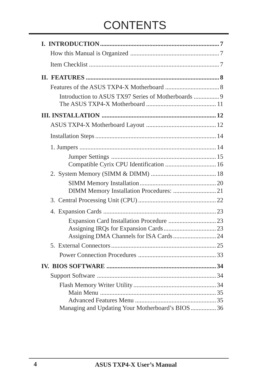# **CONTENTS**

| Compatible Cyrix CPU Identification  16           |  |
|---------------------------------------------------|--|
|                                                   |  |
|                                                   |  |
| DIMM Memory Installation Procedures:  21          |  |
|                                                   |  |
|                                                   |  |
|                                                   |  |
|                                                   |  |
|                                                   |  |
|                                                   |  |
|                                                   |  |
|                                                   |  |
|                                                   |  |
|                                                   |  |
|                                                   |  |
|                                                   |  |
| Managing and Updating Your Motherboard's BIOS  36 |  |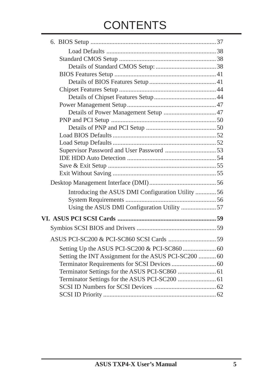# **CONTENTS**

| Introducing the ASUS DMI Configuration Utility 56     |  |
|-------------------------------------------------------|--|
|                                                       |  |
|                                                       |  |
|                                                       |  |
|                                                       |  |
|                                                       |  |
|                                                       |  |
| Setting the INT Assignment for the ASUS PCI-SC200  60 |  |
|                                                       |  |
|                                                       |  |
|                                                       |  |
|                                                       |  |
|                                                       |  |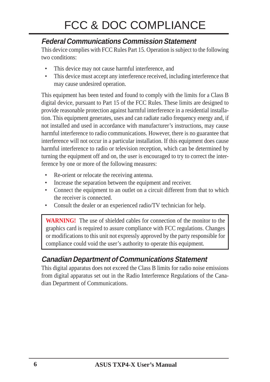### **Federal Communications Commission Statement**

This device complies with FCC Rules Part 15. Operation is subject to the following two conditions:

- This device may not cause harmful interference, and
- This device must accept any interference received, including interference that may cause undesired operation.

This equipment has been tested and found to comply with the limits for a Class B digital device, pursuant to Part 15 of the FCC Rules. These limits are designed to provide reasonable protection against harmful interference in a residential installation. This equipment generates, uses and can radiate radio frequency energy and, if not installed and used in accordance with manufacturer's instructions, may cause harmful interference to radio communications. However, there is no guarantee that interference will not occur in a particular installation. If this equipment does cause harmful interference to radio or television reception, which can be determined by turning the equipment off and on, the user is encouraged to try to correct the interference by one or more of the following measures:

- Re-orient or relocate the receiving antenna.
- Increase the separation between the equipment and receiver.
- Connect the equipment to an outlet on a circuit different from that to which the receiver is connected.
- Consult the dealer or an experienced radio/TV technician for help.

**WARNING!** The use of shielded cables for connection of the monitor to the graphics card is required to assure compliance with FCC regulations. Changes or modifications to this unit not expressly approved by the party responsible for compliance could void the user's authority to operate this equipment.

### **Canadian Department of Communications Statement**

This digital apparatus does not exceed the Class B limits for radio noise emissions from digital apparatus set out in the Radio Interference Regulations of the Canadian Department of Communications.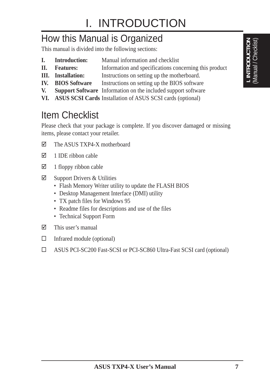## How this Manual is Organized

This manual is divided into the following sections:

- **I. Introduction:** Manual information and checklist
- **II.** Features: Information and specifications concerning this product
- **III.** Installation: Instructions on setting up the motherboard.
- **IV.** BIOS Software Instructions on setting up the BIOS software
- **V. Support Software** Information on the included support software
- **VI. ASUS SCSI Cards** Installation of ASUS SCSI cards (optional)

## Item Checklist

Please check that your package is complete. If you discover damaged or missing items, please contact your retailer.

- $\nabla$  The ASUS TXP4-X motherboard
- $\boxtimes$  1 IDE ribbon cable
- $\boxtimes$  1 floppy ribbon cable
- $\boxtimes$  Support Drivers & Utilities
	- Flash Memory Writer utility to update the FLASH BIOS
	- Desktop Management Interface (DMI) utility
	- TX patch files for Windows 95
	- Readme files for descriptions and use of the files
	- Technical Support Form
- $\nabla$  This user's manual
- $\Box$  Infrared module (optional)
- □ ASUS PCI-SC200 Fast-SCSI or PCI-SC860 Ultra-Fast SCSI card (optional)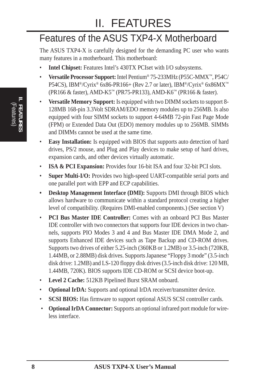## Features of the ASUS TXP4-X Motherboard

The ASUS TXP4-X is carefully designed for the demanding PC user who wants many features in a motherboard. This motherboard:

- **Intel Chipset:** Features Intel's 430TX PCIset with I/O subsystems.
- **Versatile Processor Support:** Intel Pentium® 75-233MHz (P55C-MMX™, P54C/ P54CS), IBM®/Cyrix® 6x86-PR166+ (Rev 2.7 or later), IBM®/Cyrix® 6x86MX™ (PR166 & faster), AMD-K5™ (PR75-PR133), AMD-K6™ (PR166 & faster).
- **Versatile Memory Support:** Is equipped with two DIMM sockets to support 8- 128MB 168-pin 3.3Volt SDRAM/EDO memory modules up to 256MB. Is also equipped with four SIMM sockets to support 4-64MB 72-pin Fast Page Mode (FPM) or Extended Data Out (EDO) memory modules up to 256MB. SIMMs and DIMMs cannot be used at the same time.
- **Easy Installation:** Is equipped with BIOS that supports auto detection of hard drives, PS/2 mouse, and Plug and Play devices to make setup of hard drives, expansion cards, and other devices virtually automatic.
- **ISA & PCI Expansion:** Provides four 16-bit ISA and four 32-bit PCI slots.
- **Super Multi-I/O:** Provides two high-speed UART-compatible serial ports and one parallel port with EPP and ECP capabilities.
- **Desktop Management Interface (DMI):** Supports DMI through BIOS which allows hardware to communicate within a standard protocol creating a higher level of compatibility. (Requires DMI-enabled components.) (See section V)
- **PCI Bus Master IDE Controller:** Comes with an onboard PCI Bus Master IDE controller with two connectors that supports four IDE devices in two channels, supports PIO Modes 3 and 4 and Bus Master IDE DMA Mode 2, and supports Enhanced IDE devices such as Tape Backup and CD-ROM drives. Supports two drives of either 5.25-inch (360KB or 1.2MB) or 3.5-inch (720KB, 1.44MB, or 2.88MB) disk drives. Supports Japanese "Floppy 3 mode" (3.5-inch disk drive: 1.2MB) and LS-120 floppy disk drives (3.5-inch disk drive: 120 MB, 1.44MB, 720K). BIOS supports IDE CD-ROM or SCSI device boot-up.
- **Level 2 Cache:** 512KB Pipelined Burst SRAM onboard.
- **Optional IrDA:** Supports and optional IrDA receiver/transmitter device.
- **SCSI BIOS:** Has firmware to support optional ASUS SCSI controller cards.
- **Optional IrDA Connector:** Supports an optional infrared port module for wireless interface.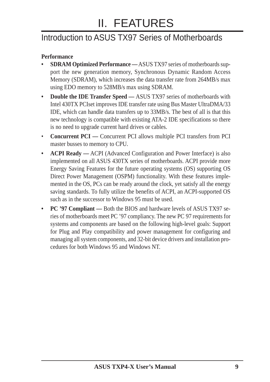# II. FEATURES

## Introduction to ASUS TX97 Series of Motherboards

#### **Performance**

- **SDRAM Optimized Performance —** ASUS TX97 series of motherboards support the new generation memory, Synchronous Dynamic Random Access Memory (SDRAM), which increases the data transfer rate from 264MB/s max using EDO memory to 528MB/s max using SDRAM.
- **Double the IDE Transfer Speed** ASUS TX97 series of motherboards with Intel 430TX PCIset improves IDE transfer rate using Bus Master UltraDMA/33 IDE, which can handle data transfers up to 33MB/s. The best of all is that this new technology is compatible with existing ATA-2 IDE specifications so there is no need to upgrade current hard drives or cables.
- **Concurrent PCI —** Concurrent PCI allows multiple PCI transfers from PCI master busses to memory to CPU.
- **ACPI Ready** ACPI (Advanced Configuration and Power Interface) is also implemented on all ASUS 430TX series of motherboards. ACPI provide more Energy Saving Features for the future operating systems (OS) supporting OS Direct Power Management (OSPM) functionality. With these features implemented in the OS, PCs can be ready around the clock, yet satisfy all the energy saving standards. To fully utilize the benefits of ACPI, an ACPI-supported OS such as in the successor to Windows 95 must be used.
- **PC '97 Compliant** Both the BIOS and hardware levels of ASUS TX97 series of motherboards meet PC '97 compliancy. The new PC 97 requirements for systems and components are based on the following high-level goals: Support for Plug and Play compatibility and power management for configuring and managing all system components, and 32-bit device drivers and installation procedures for both Windows 95 and Windows NT.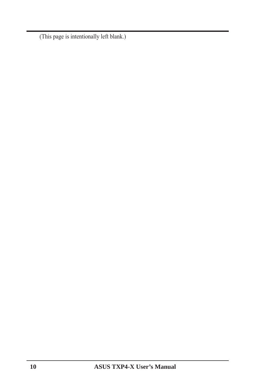(This page is intentionally left blank.)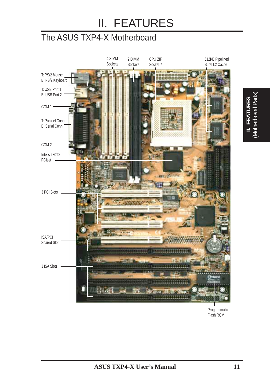# II. FEATURES

## The ASUS TXP4-X Motherboard



Programmable Flash ROM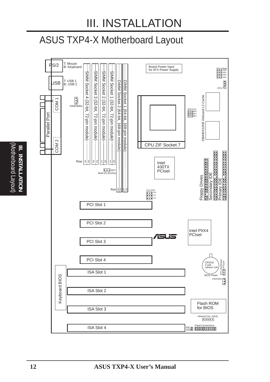## ASUS TXP4-X Motherboard Layout



(hotherboard Layout) (Motherboard Layout) **III. INSTALLATION III. INSTALLATION**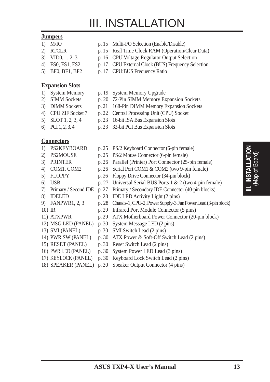# III. INSTALLATION

#### **Jumpers**

- 1) M/IO p. 15 Multi-I/O Selection (Enable/Disable)
- 
- 
- 
- 

#### **Expansion Slots**

- 
- 
- 
- 
- 
- 

#### **Connectors**

- 
- 
- 
- 
- 
- 
- 
- 
- 
- 
- 
- 
- 
- 
- 
- 
- 
- 2) RTCLR p. 15 Real Time Clock RAM (Operation/Clear Data)
- 3) VID0, 1, 2, 3 p. 16 CPU Voltage Regulator Output Selection
- 4) FS0, FS1, FS2 p. 17 CPU External Clock (BUS) Frequency Selection
- 5) BF0, BF1, BF2 p. 17 CPU:BUS Frequency Ratio
- 1) System Memory p. 19 System Memory Upgrade
- 2) SIMM Sockets p. 20 72-Pin SIMM Memory Expansion Sockets
- 3) DIMM Sockets p. 21 168-Pin DIMM Memory Expansion Sockets
- 4) CPU ZIF Socket 7 p. 22 Central Processing Unit (CPU) Socket
- 5) SLOT 1, 2, 3, 4 p. 23 16-bit ISA Bus Expansion Slots
- 6) PCI 1, 2, 3, 4 p. 23 32-bit PCI Bus Expansion Slots
- 1) PS2KEYBOARD p. 25 PS/2 Keyboard Connector (6-pin female)
- 2) PS2MOUSE p. 25 PS/2 Mouse Connector (6-pin female)
- 3) PRINTER p. 26 Parallel (Printer) Port Connector (25-pin female)
- 4) COM1, COM2 p. 26 Serial Port COM1 & COM2 (two 9-pin female)
- 5) FLOPPY p. 26 Floppy Drive Connector (34-pin block)
- 6) USB p. 27 Universal Serial BUS Ports 1 & 2 (two 4-pin female)
- 7) Primary / Second IDE p. 27 Primary / Secondary IDE Connector (40-pin blocks)
- 8) IDELED p. 28 IDE LED Activity Light (2 pins)
- 9) FANPWR1, 2, 3 p. 28 Chassis-1, CPU-2, Power Supply-3 Fan Power Lead (3-pin block)
- 10) IR p. 29 Infrared Port Module Connector (5 pins)
- 11) ATXPWR p. 29 ATX Motherboard Power Connector (20-pin block)
- 12) MSG LED (PANEL) p. 30 System Message LED (2 pins)
- 13) SMI (PANEL) p. 30 SMI Switch Lead (2 pins)
- 14) PWR SW (PANEL) p. 30 ATX Power & Soft-Off Switch Lead (2 pins)
- 15) RESET (PANEL) p. 30 Reset Switch Lead (2 pins)
- 16) PWR LED (PANEL) p. 30 System Power LED Lead (3 pins)
- 17) KEYLOCK (PANEL) p. 30 Keyboard Lock Switch Lead (2 pins)
- 18) SPEAKER (PANEL) p. 30 Speaker Output Connector (4 pins)

- 
-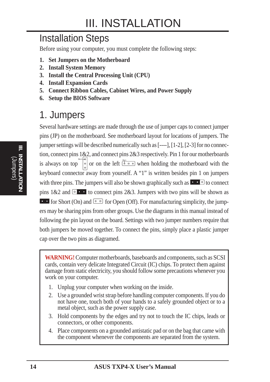## Installation Steps

Before using your computer, you must complete the following steps:

- **1. Set Jumpers on the Motherboard**
- **2. Install System Memory**
- **3. Install the Central Processing Unit (CPU)**
- **4. Install Expansion Cards**
- **5. Connect Ribbon Cables, Cabinet Wires, and Power Supply**
- **6. Setup the BIOS Software**

## 1. Jumpers

Several hardware settings are made through the use of jumper caps to connect jumper pins (JP) on the motherboard. See motherboard layout for locations of jumpers. The jumper settings will be described numerically such as [----], [1-2], [2-3] for no connection, connect pins 1&2, and connect pins 2&3 respectively. Pin 1 for our motherboards is always on top  $\left| \begin{array}{c} \n\frac{p_{n+1}}{p} \n\end{array} \right|$  or on the left  $\left[ \begin{array}{cc} \frac{p_{n+1}}{p} & \n\end{array} \right]$  when holding the motherboard with the keyboard connector away from yourself. A "1" is written besides pin 1 on jumpers with three pins. The jumpers will also be shown graphically such as  $\bullet$   $\bullet$   $\bullet$  to connect pins  $1&2$  and  $\boxed{0}$  to connect pins  $2&3$ . Jumpers with two pins will be shown as **For Short (On) and**  $\boxed{\blacksquare}$  for Open (Off). For manufacturing simplicity, the jumpers may be sharing pins from other groups. Use the diagrams in this manual instead of following the pin layout on the board. Settings with two jumper numbers require that both jumpers be moved together. To connect the pins, simply place a plastic jumper cap over the two pins as diagramed.

**WARNING!** Computer motherboards, baseboards and components, such as SCSI cards, contain very delicate Integrated Circuit (IC) chips. To protect them against damage from static electricity, you should follow some precautions whenever you work on your computer.

- 1. Unplug your computer when working on the inside.
- 2. Use a grounded wrist strap before handling computer components. If you do not have one, touch both of your hands to a safely grounded object or to a metal object, such as the power supply case.
- 3. Hold components by the edges and try not to touch the IC chips, leads or connectors, or other components.
- 4. Place components on a grounded antistatic pad or on the bag that came with the component whenever the components are separated from the system.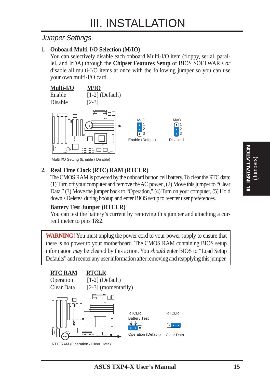### Jumper Settings

#### **1. Onboard Multi-I/O Selection (M/IO)**

You can selectively disable each onboard Multi-I/O item (floppy, serial, parallel, and IrDA) through the **Chipset Features Setup** of BIOS SOFTWARE *or* disable all multi-I/O items at once with the following jumper so you can use your own multi-I/O card.



Multi I/O Setting (Enable / Disable)

#### **2. Real Time Clock (RTC) RAM (RTCLR)**

The CMOS RAM is powered by the onboard button cell battery. To clear the RTC data: (1) Turn off your computer and remove the AC power , (2) Move this jumper to "Clear Data," (3) Move the jumper back to "Operation," (4) Turn on your computer, (5) Hold down <Delete> during bootup and enter BIOS setup to reenter user preferences.

#### **Battery Test Jumper (RTCLR)**

You can test the battery's current by removing this jumper and attaching a current meter to pins 1&2.

**WARNING!** You must unplug the power cord to your power supply to ensure that there is no power to your motherboard. The CMOS RAM containing BIOS setup information *may* be cleared by this action. You *should* enter BIOS to "Load Setup Defaults" and reenter any user information after removing and reapplying this jumper.

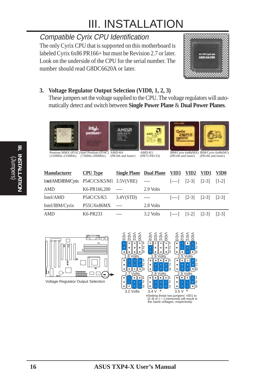# III. INSTALLATION

### Compatible Cyrix CPU Identification

The only Cyrix CPU that is supported on this motherboard is labeled Cyrix 6x86 PR166+ but must be Revision 2.7 or later. Look on the underside of the CPU for the serial number. The number should read G8DC6620A or later.



#### **3. Voltage Regulator Output Selection (VID0, 1, 2, 3)**

These jumpers set the voltage supplied to the CPU. The voltage regulators will automatically detect and switch between **Single Power Plane** & **Dual Power Planes**.





III. INSTALI

**III. INSTALLATION**

Pentium MMX (P55C) Intel Pentium (P54C)<br>(150MHz-233MHz) (75MHz-200MHz) AMD-K6 (PR166 and faster) AMD-K5 (PR75-PR133)

IBM/Cyrix 6x86(MX) (PR166 and faster) IBM/Cyrix 6x86(M1) (PR166 and faster)

| <b>Manufacturer</b>                              | <b>CPU Type</b>     | Single Plane Dual Plane VID3 VID2 VID1 VID0 |                                   |                                 |           |
|--------------------------------------------------|---------------------|---------------------------------------------|-----------------------------------|---------------------------------|-----------|
| Intel/AMD/IBM/Cyrix P54C/CS/K5/M1 3.5V(VRE) ---- |                     |                                             |                                   | $[--1]$ $[2-3]$ $[2-3]$ $[1-2]$ |           |
| AMD                                              | $K6-PR166,200$ ---- |                                             | 2.9 Volts                         |                                 |           |
| Intel/AMD                                        | <b>P54C/CS/K5</b>   | $3.4V(STD)$ ----                            |                                   | $[--1]$ $[2-3]$ $[2-3]$ $[2-3]$ |           |
| Intel/IBM/Cyrix                                  | $P55C/6x86MX$ ----  |                                             | 2.8 Volts                         |                                 |           |
| AMD                                              | K6-PR233            |                                             | 3.2 Volts $[--1]$ $[1-2]$ $[2-3]$ |                                 | $12 - 31$ |



Voltage Regulator Output Selection



[2-3] or [----] (removed) will result in the same voltages, respectively.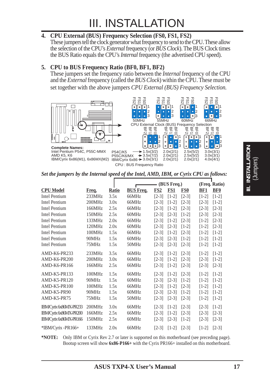#### **4. CPU External (BUS) Frequency Selection (FS0, FS1, FS2)**

These jumpers tell the clock generator what frequency to send to the CPU. These allow the selection of the CPU's *External* frequency (or *BUS Clock*). The BUS Clock times the BUS Ratio equals the CPU's *Internal* frequency (the advertised CPU speed).

#### **5. CPU to BUS Frequency Ratio (BF0, BF1, BF2)**

These jumpers set the frequency ratio between the *Internal* frequency of the CPU and the *External* frequency (called the *BUS Clock*) within the CPU. These must be set together with the above jumpers *CPU External (BUS) Frequency Selection.*



*Set the jumpers by the Internal speed of the Intel, AMD, IBM, or Cyrix CPU as follows:*

|                        |        |              | - (BUS Freq.)    |                 |         |                 |         | (Freq. Ratio) |
|------------------------|--------|--------------|------------------|-----------------|---------|-----------------|---------|---------------|
| <b>CPU Model</b>       | Freq.  | <b>Ratio</b> | <b>BUS Freq.</b> | FS <sub>2</sub> | FS1     | FS <sub>0</sub> | BF1     | <b>BF0</b>    |
| <b>Intel Pentium</b>   | 233MHz | 3.5x         | 66MHz            | $[2-3]$         | $[1-2]$ | $[2-3]$         | $[1-2]$ | $[1-2]$       |
| <b>Intel Pentium</b>   | 200MHz | 3.0x         | 66MHz            | $[2-3]$         | $[1-2]$ | $[2-3]$         | $[2-3]$ | $[1-2]$       |
| <b>Intel Pentium</b>   | 166MHz | 2.5x         | 66MHz            | $[2-3]$         | $[1-2]$ | $[2-3]$         | $[2-3]$ | $[2-3]$       |
| <b>Intel Pentium</b>   | 150MHz | 2.5x         | 60MHz            | $[2-3]$         | $[2-3]$ | $[1-2]$         | $[2-3]$ | $[2-3]$       |
| <b>Intel Pentium</b>   | 133MHz | 2.0x         | 66MHz            | $[2-3]$         | $[1-2]$ | $[2-3]$         | $[1-2]$ | $[2-3]$       |
| <b>Intel Pentium</b>   | 120MHz | 2.0x         | 60MHz            | $[2-3]$         | $[2-3]$ | $[1-2]$         | $[1-2]$ | $[2-3]$       |
| <b>Intel Pentium</b>   | 100MHz | 1.5x         | 66MHz            | $[2-3]$         | $[1-2]$ | $[2-3]$         | $[1-2]$ | $[1-2]$       |
| <b>Intel Pentium</b>   | 90MHz  | 1.5x         | 60MHz            | $[2-3]$         | $[2-3]$ | $[1-2]$         | $[1-2]$ | $[1-2]$       |
| <b>Intel Pentium</b>   | 75MHz  | 1.5x         | 50MHz            | $[2-3]$         | $[2-3]$ | $[2-3]$         | $[1-2]$ | $[1-2]$       |
| AMD-K6-PR233           | 233MHz | 3.5x         | 66MHz            | $[2-3]$         | $[1-2]$ | $[2-3]$         | $[1-2]$ | $[1-2]$       |
| AMD-K6-PR200           | 200MHz | 3.0x         | 66MHz            | $[2-3]$         | $[1-2]$ | $[2-3]$         | $[2-3]$ | $[1-2]$       |
| AMD-K6-PR166           | 166MHz | 2.5x         | 66MHz            | $[2-3]$         | $[1-2]$ | $[2-3]$         | $[2-3]$ | $[2-3]$       |
| AMD-K5-PR133           | 100MHz | 1.5x         | 66MHz            | $[2-3]$         | $[1-2]$ | $[2-3]$         | $[1-2]$ | $[1-2]$       |
| AMD-K5-PR120           | 90MHz  | 1.5x         | 60MHz            | $[2-3]$         | $[2-3]$ | $[1-2]$         | $[1-2]$ | $[1-2]$       |
| AMD-K5-PR100           | 100MHz | 1.5x         | 66MHz            | $[2-3]$         | $[1-2]$ | $[2-3]$         | $[1-2]$ | $[1-2]$       |
| AMD-K5-PR90            | 90MHz  | 1.5x         | 60MHz            | $[2-3]$         | $[2-3]$ | $[1-2]$         | $[1-2]$ | $[1-2]$       |
| AMD-K5-PR75            | 75MHz  | 1.5x         | 50MHz            | $[2-3]$         | $[2-3]$ | $[2-3]$         | $[1-2]$ | $[1-2]$       |
| IBM/Cyrix 6x86MX-PR233 | 200MHz | 3.0x         | 66MHz            | $[2-3]$         | $[1-2]$ | $[2-3]$         | $[2-3]$ | $[1-2]$       |
| IBM/Cyrix 6x86MX-PR200 | 166MHz | 2.5x         | 66MHz            | $[2-3]$         | $[1-2]$ | $[2-3]$         | $[2-3]$ | $[2-3]$       |
| IBM/Cyrix 6x86MX-PR166 | 150MHz | 2.5x         | 60MHz            | $[2-3]$         | $[2-3]$ | $[1-2]$         | $[2-3]$ | $[2-3]$       |
| *IBM/Cyrix -PR166+     | 133MHz | 2.0x         | 66MHz            | $[2-3]$         | $[1-2]$ | $[2-3]$         | $[1-2]$ | $[2-3]$       |

**\*NOTE:** Only IBM or Cyrix Rev 2.7 or later is supported on this motherboard (see preceding page). Bootup screen will show **6x86-P166+** with the Cyrix PR166+ installed on this motherboard.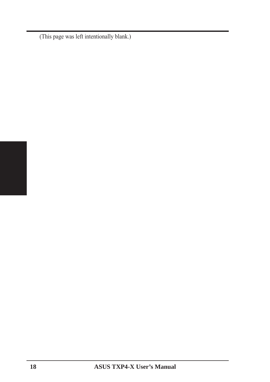(This page was left intentionally blank.)

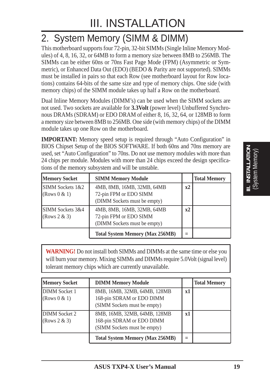## 2. System Memory (SIMM & DIMM)

This motherboard supports four 72-pin, 32-bit SIMMs (Single Inline Memory Modules) of 4, 8, 16, 32, or 64MB to form a memory size between 8MB to 256MB. The SIMMs can be either 60ns or 70ns Fast Page Mode (FPM) (Asymmetric or Symmetric), or Enhanced Data Out (EDO) (BEDO & Parity are not supported). SIMMs must be installed in pairs so that each Row (see motherboard layout for Row locations) contains 64-bits of the same size and type of memory chips. One side (with memory chips) of the SIMM module takes up half a Row on the motherboard.

Dual Inline Memory Modules (DIMM's) can be used when the SIMM sockets are not used. Two sockets are available for **3.3Volt** (power level) Unbuffered Synchronous DRAMs (SDRAM) or EDO DRAM of either 8, 16, 32, 64, or 128MB to form a memory size between 8MB to 256MB. One side (with memory chips) of the DIMM module takes up one Row on the motherboard.

**IMPORTANT:** Memory speed setup is required through "Auto Configuration" in BIOS Chipset Setup of the BIOS SOFTWARE. If both 60ns and 70ns memory are used, set "Auto Configuration" to 70ns. Do not use memory modules with more than 24 chips per module. Modules with more than 24 chips exceed the design specifications of the memory subsystem and will be unstable.

| <b>Memory Socket</b>                 | <b>SIMM Memory Module</b>                                                            |       | <b>Total Memory</b> |
|--------------------------------------|--------------------------------------------------------------------------------------|-------|---------------------|
| SIMM Sockets 1&2<br>(Rows 0 & 1)     | 4MB, 8MB, 16MB, 32MB, 64MB<br>72-pin FPM or EDO SIMM<br>(DIMM Sockets must be empty) | $x^2$ |                     |
| SIMM Sockets 3&4<br>(Rows $2 \& 3$ ) | 4MB, 8MB, 16MB, 32MB, 64MB<br>72-pin FPM or EDO SIMM<br>(DIMM Sockets must be empty) | $x^2$ |                     |
|                                      | <b>Total System Memory (Max 256MB)</b>                                               |       |                     |

**WARNING!** Do not install both SIMMs and DIMMs at the same time or else you will burn your memory. Mixing SIMMs and DIMMs require 5.0Volt (signal level) tolerant memory chips which are currently unavailable.

| <b>Memory Socket</b>                     | <b>DIMM Memory Module</b>                                                                 |                | <b>Total Memory</b> |
|------------------------------------------|-------------------------------------------------------------------------------------------|----------------|---------------------|
| <b>DIMM</b> Socket 1<br>(Rows $0 & 1$ )  | 8MB, 16MB, 32MB, 64MB, 128MB<br>168-pin SDRAM or EDO DIMM<br>(SIMM Sockets must be empty) | x1             |                     |
| <b>DIMM</b> Socket 2<br>(Rows $2 \& 3$ ) | 8MB, 16MB, 32MB, 64MB, 128MB<br>168-pin SDRAM or EDO DIMM<br>(SIMM Sockets must be empty) | $\mathbf{x}$ 1 |                     |
|                                          | <b>Total System Memory (Max 256MB)</b>                                                    |                |                     |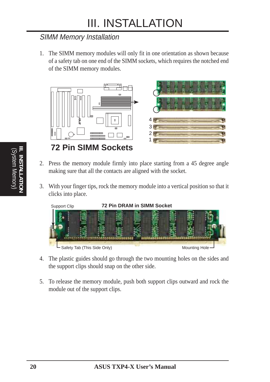# III. INSTALLATION

### SIMM Memory Installation

1. The SIMM memory modules will only fit in one orientation as shown because of a safety tab on one end of the SIMM sockets, which requires the notched end of the SIMM memory modules.



- 2. Press the memory module firmly into place starting from a 45 degree angle making sure that all the contacts are aligned with the socket.
- 3. With your finger tips, rock the memory module into a vertical position so that it clicks into place.

Support Clip **72 Pin DRAM in SIMM Socket AAFRA** Safety Tab (This Side Only) Mounting Hole

- 4. The plastic guides should go through the two mounting holes on the sides and the support clips should snap on the other side.
- 5. To release the memory module, push both support clips outward and rock the module out of the support clips.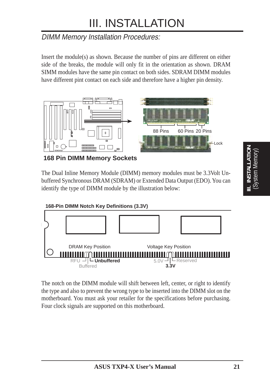### DIMM Memory Installation Procedures:

Insert the module(s) as shown. Because the number of pins are different on either side of the breaks, the module will only fit in the orientation as shown. DRAM SIMM modules have the same pin contact on both sides. SDRAM DIMM modules have different pint contact on each side and therefore have a higher pin density.



**168 Pin DIMM Memory Sockets**

The Dual Inline Memory Module (DIMM) memory modules must be 3.3Volt Unbuffered Synchronous DRAM (SDRAM) or Extended Data Output (EDO). You can identify the type of DIMM module by the illustration below:



The notch on the DIMM module will shift between left, center, or right to identify the type and also to prevent the wrong type to be inserted into the DIMM slot on the motherboard. You must ask your retailer for the specifications before purchasing. Four clock signals are supported on this motherboard.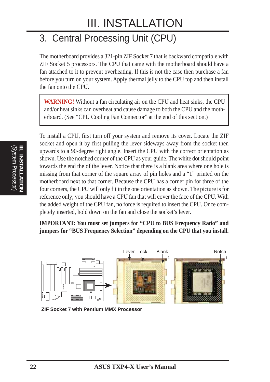## 3. Central Processing Unit (CPU)

The motherboard provides a 321-pin ZIF Socket 7 that is backward compatible with ZIF Socket 5 processors. The CPU that came with the motherboard should have a fan attached to it to prevent overheating. If this is not the case then purchase a fan before you turn on your system. Apply thermal jelly to the CPU top and then install the fan onto the CPU.

**WARNING!** Without a fan circulating air on the CPU and heat sinks, the CPU and/or heat sinks can overheat and cause damage to both the CPU and the motherboard. (See "CPU Cooling Fan Connector" at the end of this section.)

To install a CPU, first turn off your system and remove its cover. Locate the ZIF socket and open it by first pulling the lever sideways away from the socket then upwards to a 90-degree right angle. Insert the CPU with the correct orientation as shown. Use the notched corner of the CPU as your guide. The white dot should point towards the end the of the lever. Notice that there is a blank area where one hole is missing from that corner of the square array of pin holes and a "1" printed on the motherboard next to that corner. Because the CPU has a corner pin for three of the four corners, the CPU will only fit in the one orientation as shown. The picture is for reference only; you should have a CPU fan that will cover the face of the CPU. With the added weight of the CPU fan, no force is required to insert the CPU. Once completely inserted, hold down on the fan and close the socket's lever.

#### **IMPORTANT: You must set jumpers for "CPU to BUS Frequency Ratio" and jumpers for "BUS Frequency Selection" depending on the CPU that you install.**



**ZIF Socket 7 with Pentium MMX Processor**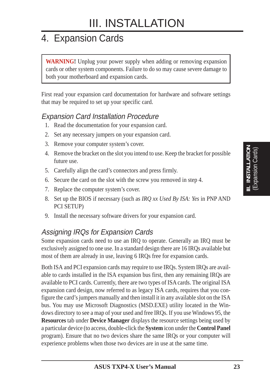## 4. Expansion Cards

**WARNING!** Unplug your power supply when adding or removing expansion cards or other system components. Failure to do so may cause severe damage to both your motherboard and expansion cards.

First read your expansion card documentation for hardware and software settings that may be required to set up your specific card.

### Expansion Card Installation Procedure

- 1. Read the documentation for your expansion card.
- 2. Set any necessary jumpers on your expansion card.
- 3. Remove your computer system's cover.
- 4. Remove the bracket on the slot you intend to use. Keep the bracket for possible future use.
- 5. Carefully align the card's connectors and press firmly.
- 6. Secure the card on the slot with the screw you removed in step 4.
- 7. Replace the computer system's cover.
- 8. Set up the BIOS if necessary (such as *IRQ xx Used By ISA: Yes* in PNP AND PCI SETUP)
- 9. Install the necessary software drivers for your expansion card.

### Assigning IRQs for Expansion Cards

Some expansion cards need to use an IRQ to operate. Generally an IRQ must be exclusively assigned to one use. In a standard design there are 16 IRQs available but most of them are already in use, leaving 6 IRQs free for expansion cards.

Both ISA and PCI expansion cards may require to use IRQs. System IRQs are available to cards installed in the ISA expansion bus first, then any remaining IRQs are available to PCI cards. Currently, there are two types of ISA cards. The original ISA expansion card design, now referred to as legacy ISA cards, requires that you configure the card's jumpers manually and then install it in any available slot on the ISA bus. You may use Microsoft Diagnostics (MSD.EXE) utility located in the Windows directory to see a map of your used and free IRQs. If you use Windows 95, the **Resources** tab under **Device Manager** displays the resource settings being used by a particular device (to access, double-click the **System** icon under the **Control Panel** program). Ensure that no two devices share the same IRQs or your computer will experience problems when those two devices are in use at the same time.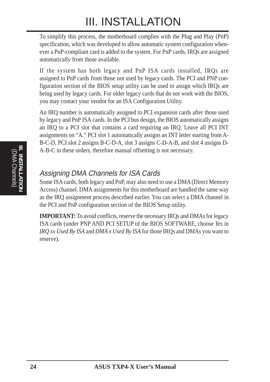# III. INSTALLATION

To simplify this process, the motherboard complies with the Plug and Play (PnP) specification, which was developed to allow automatic system configuration whenever a PnP-compliant card is added to the system. For PnP cards, IRQs are assigned automatically from those available.

If the system has both legacy and PnP ISA cards installed, IRQs are assigned to PnP cards from those not used by legacy cards. The PCI and PNP configuration section of the BIOS setup utility can be used to assign which IRQs are being used by legacy cards. For older legacy cards that do not work with the BIOS, you may contact your vendor for an ISA Configuration Utility.

An IRQ number is automatically assigned to PCI expansion cards after those used by legacy and PnP ISA cards. In the PCI bus design, the BIOS automatically assigns an IRQ to a PCI slot that contains a card requiring an IRQ. Leave all PCI INT assignments on "A." PCI slot 1 automatically assigns an INT letter starting from A-B-C-D, PCI slot 2 assigns B-C-D-A, slot 3 assigns C-D-A-B, and slot 4 assigns D-A-B-C in these orders, therefore manual offsetting is not necessary.

### Assigning DMA Channels for ISA Cards

Some ISA cards, both legacy and PnP, may also need to use a DMA (Direct Memory Access) channel. DMA assignments for this motherboard are handled the same way as the IRQ assignment process described earlier. You can select a DMA channel in the PCI and PnP configuration section of the BIOS Setup utility.

**IMPORTANT:** To avoid conflicts, reserve the necessary IRQs and DMAs for legacy ISA cards (under PNP AND PCI SETUP of the BIOS SOFTWARE, choose *Yes* in *IRQ xx Used By ISA* and *DMA x Used By ISA* for those IRQs and DMAs you want to reserve).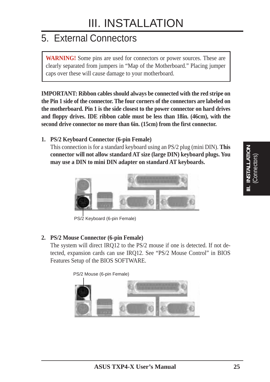## 5. External Connectors

**WARNING!** Some pins are used for connectors or power sources. These are clearly separated from jumpers in "Map of the Motherboard." Placing jumper caps over these will cause damage to your motherboard.

**IMPORTANT: Ribbon cables should always be connected with the red stripe on the Pin 1 side of the connector. The four corners of the connectors are labeled on the motherboard. Pin 1 is the side closest to the power connector on hard drives and floppy drives. IDE ribbon cable must be less than 18in. (46cm), with the second drive connector no more than 6in. (15cm) from the first connector.**

**1. PS/2 Keyboard Connector (6-pin Female)**

This connection is for a standard keyboard using an PS/2 plug (mini DIN). **This connector will not allow standard AT size (large DIN) keyboard plugs. You may use a DIN to mini DIN adapter on standard AT keyboards.**



PS/2 Keyboard (6-pin Female)

#### **2. PS/2 Mouse Connector (6-pin Female)**

The system will direct IRQ12 to the PS/2 mouse if one is detected. If not detected, expansion cards can use IRQ12. See "PS/2 Mouse Control" in BIOS Features Setup of the BIOS SOFTWARE.

PS/2 Mouse (6-pin Female)

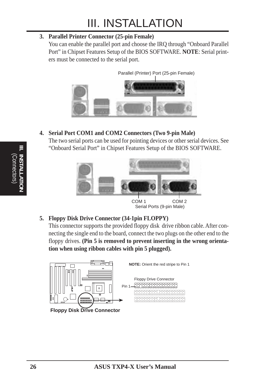#### **3. Parallel Printer Connector (25-pin Female)**

You can enable the parallel port and choose the IRQ through "Onboard Parallel Port" in Chipset Features Setup of the BIOS SOFTWARE. **NOTE**: Serial printers must be connected to the serial port.

Parallel (Printer) Port (25-pin Female)

#### **4. Serial Port COM1 and COM2 Connectors (Two 9-pin Male)**

The two serial ports can be used for pointing devices or other serial devices. See "Onboard Serial Port" in Chipset Features Setup of the BIOS SOFTWARE.



#### **5. Floppy Disk Drive Connector (34-1pin FLOPPY)**

This connector supports the provided floppy disk drive ribbon cable. After connecting the single end to the board, connect the two plugs on the other end to the floppy drives. **(Pin 5 is removed to prevent inserting in the wrong orientation when using ribbon cables with pin 5 plugged).**

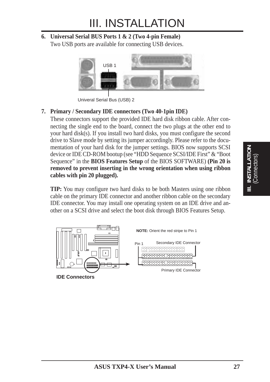### **6. Universal Serial BUS Ports 1 & 2 (Two 4-pin Female)**

Two USB ports are available for connecting USB devices.



Univeral Serial Bus (USB) 2

#### **7. Primary / Secondary IDE connectors (Two 40-1pin IDE)**

These connectors support the provided IDE hard disk ribbon cable. After connecting the single end to the board, connect the two plugs at the other end to your hard disk(s). If you install two hard disks, you must configure the second drive to Slave mode by setting its jumper accordingly. Please refer to the documentation of your hard disk for the jumper settings. BIOS now supports SCSI device or IDE CD-ROM bootup (see "HDD Sequence SCSI/IDE First" & "Boot Sequence" in the **BIOS Features Setup** of the BIOS SOFTWARE) **(Pin 20 is removed to prevent inserting in the wrong orientation when using ribbon cables with pin 20 plugged).**

**TIP:** You may configure two hard disks to be both Masters using one ribbon cable on the primary IDE connector and another ribbon cable on the secondary IDE connector. You may install one operating system on an IDE drive and another on a SCSI drive and select the boot disk through BIOS Features Setup.

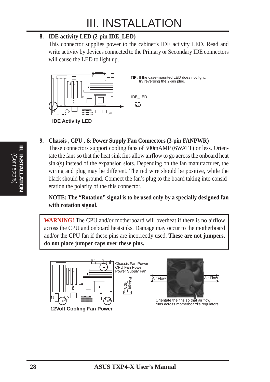# III. INSTALLATION

#### **8. IDE activity LED (2-pin IDE\_LED)**

This connector supplies power to the cabinet's IDE activity LED. Read and write activity by devices connected to the Primary or Secondary IDE connectors will cause the LED to light up.



**9. Chassis , CPU , & Power Supply Fan Connectors (3-pin FANPWR)**

These connectors support cooling fans of 500mAMP (6WATT) or less. Orientate the fans so that the heat sink fins allow airflow to go across the onboard heat sink(s) instead of the expansion slots. Depending on the fan manufacturer, the wiring and plug may be different. The red wire should be positive, while the black should be ground. Connect the fan's plug to the board taking into consideration the polarity of the this connector.

#### **NOTE: The "Rotation" signal is to be used only by a specially designed fan with rotation signal.**

**WARNING!** The CPU and/or motherboard will overheat if there is no airflow across the CPU and onboard heatsinks. Damage may occur to the motherboard and/or the CPU fan if these pins are incorrectly used. **These are not jumpers, do not place jumper caps over these pins.**

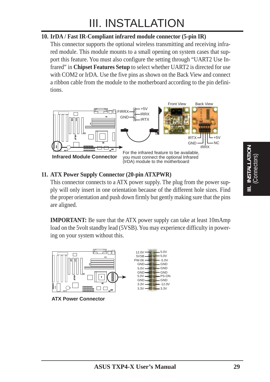#### **10. IrDA / Fast IR-Compliant infrared module connector (5-pin IR)**

This connector supports the optional wireless transmitting and receiving infrared module. This module mounts to a small opening on system cases that support this feature. You must also configure the setting through "UART2 Use Infrared" in **Chipset Features Setup** to select whether UART2 is directed for use with COM2 or IrDA. Use the five pins as shown on the Back View and connect a ribbon cable from the module to the motherboard according to the pin definitions.



#### **11. ATX Power Supply Connector (20-pin ATXPWR)**

This connector connects to a ATX power supply. The plug from the power supply will only insert in one orientation because of the different hole sizes. Find the proper orientation and push down firmly but gently making sure that the pins are aligned.

**IMPORTANT:** Be sure that the ATX power supply can take at least 10mAmp load on the 5volt standby lead (5VSB). You may experience difficulty in powering on your system without this.



**ATX Power Connector**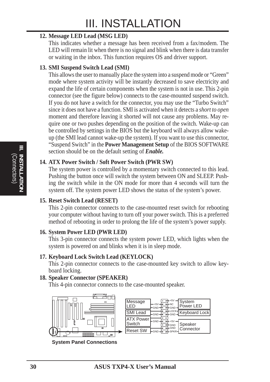# III. INSTALLATION

#### **12. Message LED Lead (MSG LED)**

This indicates whether a message has been received from a fax/modem. The LED will remain lit when there is no signal and blink when there is data transfer or waiting in the inbox. This function requires OS and driver support.

#### **13. SMI Suspend Switch Lead (SMI)**

This allows the user to manually place the system into a suspend mode or "Green" mode where system activity will be instantly decreased to save electricity and expand the life of certain components when the system is not in use. This 2-pin connector (see the figure below) connects to the case-mounted suspend switch. If you do not have a switch for the connector, you may use the "Turbo Switch" since it does not have a function. SMI is activated when it detects a *short to open* moment and therefore leaving it shorted will not cause any problems. May require one or two pushes depending on the position of the switch. Wake-up can be controlled by settings in the BIOS but the keyboard will always allow wakeup (the SMI lead cannot wake-up the system). If you want to use this connector, "Suspend Switch" in the **Power Management Setup** of the BIOS SOFTWARE section should be on the default setting of *Enable.*

#### **14. ATX Power Switch / Soft Power Switch (PWR SW)**

The system power is controlled by a momentary switch connected to this lead. Pushing the button once will switch the system between ON and SLEEP. Pushing the switch while in the ON mode for more than 4 seconds will turn the system off. The system power LED shows the status of the system's power.

#### **15. Reset Switch Lead (RESET)**

This 2-pin connector connects to the case-mounted reset switch for rebooting your computer without having to turn off your power switch. This is a preferred method of rebooting in order to prolong the life of the system's power supply.

#### **16. System Power LED (PWR LED)**

This 3-pin connector connects the system power LED, which lights when the system is powered on and blinks when it is in sleep mode.

#### **17. Keyboard Lock Switch Lead (KEYLOCK)**

This 2-pin connector connects to the case-mounted key switch to allow keyboard locking.

#### **18. Speaker Connector (SPEAKER)**

This 4-pin connector connects to the case-mounted speaker.



| Message             | $+5V$<br>GND |         | $+5V$<br>$-NC$<br><b>GND</b> | System<br>Power LED |
|---------------------|--------------|---------|------------------------------|---------------------|
| <b>SMI Lead</b>     | -GND         |         | -GND                         | LOCK Keyboard Lock  |
| ATX Power<br>Switch | <b>GND</b>   | п.<br>п | +5\<br>-GND                  | Speaker             |
| <b>Reset SW</b>     |              |         | -GND<br>SPKR-                | Connector           |

**System Panel Connections**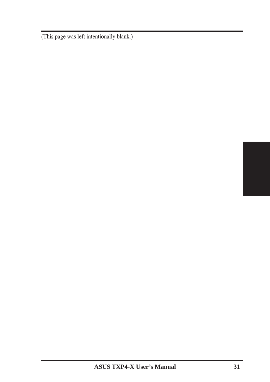(This page was left intentionally blank.)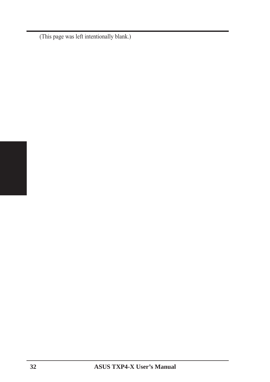(This page was left intentionally blank.)

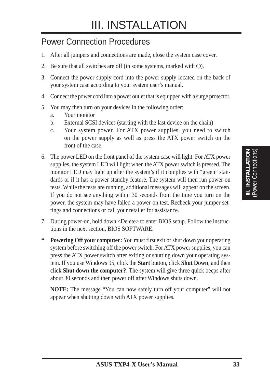### Power Connection Procedures

- 1. After all jumpers and connections are made, close the system case cover.
- 2. Be sure that all switches are off (in some systems, marked with  $\bigcirc$ ).
- 3. Connect the power supply cord into the power supply located on the back of your system case according to your system user's manual.
- 4. Connect the power cord into a power outlet that is equipped with a surge protector.
- 5. You may then turn on your devices in the following order:
	- a. Your monitor
	- b. External SCSI devices (starting with the last device on the chain)
	- c. Your system power. For ATX power supplies, you need to switch on the power supply as well as press the ATX power switch on the front of the case.
- 6. The power LED on the front panel of the system case will light. For ATX power supplies, the system LED will light when the ATX power switch is pressed. The monitor LED may light up after the system's if it complies with "green" standards or if it has a power standby feature. The system will then run power-on tests. While the tests are running, additional messages will appear on the screen. If you do not see anything within 30 seconds from the time you turn on the power, the system may have failed a power-on test. Recheck your jumper settings and connections or call your retailer for assistance.
- 7. During power-on, hold down <Delete> to enter BIOS setup. Follow the instructions in the next section, BIOS SOFTWARE.
- **\* Powering Off your computer:** You must first exit or shut down your operating system before switching off the power switch. For ATX power supplies, you can press the ATX power switch after exiting or shutting down your operating system. If you use Windows 95, click the **Start** button, click **Shut Down**, and then click **Shut down the computer?**. The system will give three quick beeps after about 30 seconds and then power off after Windows shuts down.

**NOTE:** The message "You can now safely turn off your computer" will not appear when shutting down with ATX power supplies.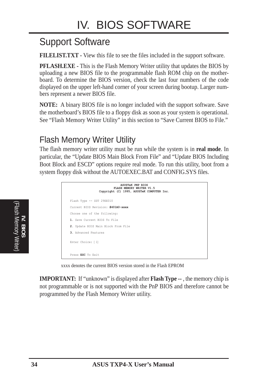## Support Software

**FILELIST.TXT -** View this file to see the files included in the support software.

**PFLASH.EXE -** This is the Flash Memory Writer utility that updates the BIOS by uploading a new BIOS file to the programmable flash ROM chip on the motherboard. To determine the BIOS version, check the last four numbers of the code displayed on the upper left-hand corner of your screen during bootup. Larger numbers represent a newer BIOS file.

**NOTE:** A binary BIOS file is no longer included with the support software. Save the motherboard's BIOS file to a floppy disk as soon as your system is operational. See "Flash Memory Writer Utility" in this section to "Save Current BIOS to File."

## Flash Memory Writer Utility

The flash memory writer utility must be run while the system is in **real mode**. In particular, the "Update BIOS Main Block From File" and "Update BIOS Including Boot Block and ESCD" options require real mode. To run this utility, boot from a system floppy disk without the AUTOEXEC.BAT and CONFIG.SYS files.

| <b>ASUSTeK PNP BIOS</b><br>FLASH MEMORY WRITER V1.5<br>Copyright (C) 1995, ASUSTeK COMPUTER Inc. |
|--------------------------------------------------------------------------------------------------|
| Flash Type -- SST 29EE010                                                                        |
| Current BIOS Revision: #401A0-xxxx                                                               |
| Choose one of the following:                                                                     |
| 1. Save Current BIOS To File                                                                     |
| 2. Update BIOS Main Block From File                                                              |
| 3. Advanced Features                                                                             |
| Enter Choice: [1]                                                                                |
| Press ESC To Exit                                                                                |

xxxx denotes the current BIOS version stored in the Flash EPROM

**IMPORTANT:** If "unknown" is displayed after **Flash Type --** , the memory chip is not programmable or is not supported with the PnP BIOS and therefore cannot be programmed by the Flash Memory Writer utility.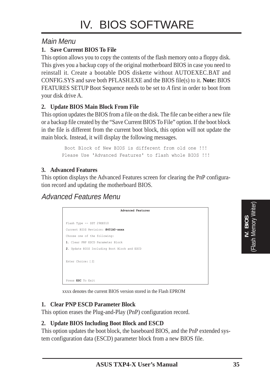### Main Menu

#### **1. Save Current BIOS To File**

This option allows you to copy the contents of the flash memory onto a floppy disk. This gives you a backup copy of the original motherboard BIOS in case you need to reinstall it. Create a bootable DOS diskette without AUTOEXEC.BAT and CONFIG.SYS and save both PFLASH.EXE and the BIOS file(s) to it. **Note:** BIOS FEATURES SETUP Boot Sequence needs to be set to *A* first in order to boot from your disk drive A.

#### **2. Update BIOS Main Block From File**

This option updates the BIOS from a file on the disk. The file can be either a new file or a backup file created by the "Save Current BIOS To File" option. If the boot block in the file is different from the current boot block, this option will not update the main block. Instead, it will display the following messages.

> Boot Block of New BIOS is different from old one !!! Please Use 'Advanced Features' to flash whole BIOS !!!

#### **3. Advanced Features**

This option displays the Advanced Features screen for clearing the PnP configuration record and updating the motherboard BIOS.

Advanced Features Menu

| <b>Advanced Features</b>                     |
|----------------------------------------------|
|                                              |
| Flash Type -- SST 29EE010                    |
| Current BIOS Revision: #401A0-xxxx           |
| Choose one of the following:                 |
| 1. Clear PNP ESCD Parameter Block            |
| 2. Update BIOS Including Boot Block and ESCD |
|                                              |
| Enter Choice: [2]                            |
|                                              |
|                                              |
| Press ESC To Exit                            |

xxxx denotes the current BIOS version stored in the Flash EPROM

#### **1. Clear PNP ESCD Parameter Block**

This option erases the Plug-and-Play (PnP) configuration record.

#### **2. Update BIOS Including Boot Block and ESCD**

This option updates the boot block, the baseboard BIOS, and the PnP extended system configuration data (ESCD) parameter block from a new BIOS file.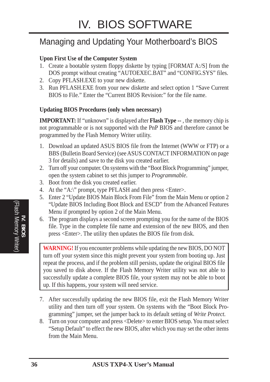## Managing and Updating Your Motherboard's BIOS

#### **Upon First Use of the Computer System**

- 1. Create a bootable system floppy diskette by typing [FORMAT A:/S] from the DOS prompt without creating "AUTOEXEC.BAT" and "CONFIG.SYS" files.
- 2. Copy PFLASH.EXE to your new diskette.
- 3. Run PFLASH.EXE from your new diskette and select option 1 "Save Current BIOS to File." Enter the "Current BIOS Revision:" for the file name.

#### **Updating BIOS Procedures (only when necessary)**

**IMPORTANT:** If "unknown" is displayed after **Flash Type --** , the memory chip is not programmable or is not supported with the PnP BIOS and therefore cannot be programmed by the Flash Memory Writer utility.

- 1. Download an updated ASUS BIOS file from the Internet (WWW or FTP) or a BBS (Bulletin Board Service) (see ASUS CONTACT INFORMATION on page 3 for details) and save to the disk you created earlier.
- 2. Turn off your computer. On systems with the "Boot Block Programming" jumper, open the system cabinet to set this jumper to *Programmable*.
- 3. Boot from the disk you created earlier.
- 4. At the "A:\" prompt, type PFLASH and then press <Enter>.
- 5. Enter 2 "Update BIOS Main Block From File" from the Main Menu or option 2 "Update BIOS Including Boot Block and ESCD" from the Advanced Features Menu if prompted by option 2 of the Main Menu.
- 6. The program displays a second screen prompting you for the name of the BIOS file. Type in the complete file name and extension of the new BIOS, and then press <Enter>. The utility then updates the BIOS file from disk.

**WARNING!** If you encounter problems while updating the new BIOS, DO NOT turn off your system since this might prevent your system from booting up. Just repeat the process, and if the problem still persists, update the original BIOS file you saved to disk above. If the Flash Memory Writer utility was not able to successfully update a complete BIOS file, your system may not be able to boot up. If this happens, your system will need service.

- 7. After successfully updating the new BIOS file, exit the Flash Memory Writer utility and then turn off your system. On systems with the "Boot Block Programming" jumper, set the jumper back to its default setting of *Write Protect*.
- 8. Turn on your computer and press <Delete> to enter BIOS setup. You must select "Setup Default" to effect the new BIOS, after which you may set the other items from the Main Menu.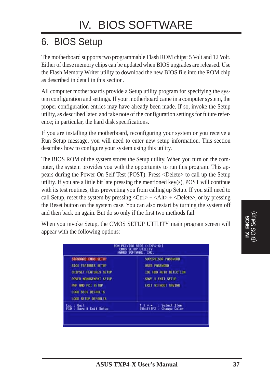## 6. BIOS Setup

The motherboard supports two programmable Flash ROM chips: 5 Volt and 12 Volt. Either of these memory chips can be updated when BIOS upgrades are released. Use the Flash Memory Writer utility to download the new BIOS file into the ROM chip as described in detail in this section.

All computer motherboards provide a Setup utility program for specifying the system configuration and settings. If your motherboard came in a computer system, the proper configuration entries may have already been made. If so, invoke the Setup utility, as described later, and take note of the configuration settings for future reference; in particular, the hard disk specifications.

If you are installing the motherboard, reconfiguring your system or you receive a Run Setup message, you will need to enter new setup information. This section describes how to configure your system using this utility.

The BIOS ROM of the system stores the Setup utility. When you turn on the computer, the system provides you with the opportunity to run this program. This appears during the Power-On Self Test (POST). Press <Delete> to call up the Setup utility. If you are a little bit late pressing the mentioned key(s), POST will continue with its test routines, thus preventing you from calling up Setup. If you still need to call Setup, reset the system by pressing  $\langle \text{Ctrl} \rangle + \langle \text{Alt} \rangle + \langle \text{Delete} \rangle$ , or by pressing the Reset button on the system case. You can also restart by turning the system off and then back on again. But do so only if the first two methods fail.

When you invoke Setup, the CMOS SETUP UTILITY main program screen will appear with the following options:

| STONDARD CNOS SETUP                            | SUPERVISOR PASSNORD                            |
|------------------------------------------------|------------------------------------------------|
| <b>810S FEATURES SETUP</b>                     | <b>USER PRSSHORD</b>                           |
| CHIPSET FEATURES SETUP                         | THE HOD AUTO DETECTION                         |
| <b>POWER MRNAGEMENT SETUP</b>                  | SAVE & EXIT SETUP                              |
| FMP TIMO PCT SETUP                             | EXTT VITHOUT SAVING                            |
| LOAD 810S DEFINILTS.                           |                                                |
| LOOD SETUP DEFAILTS                            |                                                |
| <b>Ouit</b><br>tac.<br>F10 : Savo & Exit Setup | <b>Select Item</b><br>(Shift)F2 : Change Color |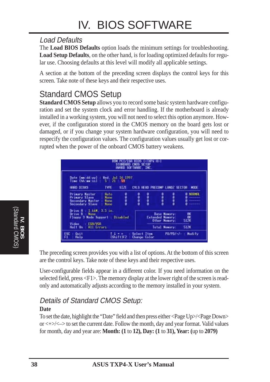### Load Defaults

The **Load BIOS Defaults** option loads the minimum settings for troubleshooting. **Load Setup Defaults**, on the other hand, is for loading optimized defaults for regular use. Choosing defaults at this level will modify all applicable settings.

A section at the bottom of the preceding screen displays the control keys for this screen. Take note of these keys and their respective uses.

## Standard CMOS Setup

**Standard CMOS Setup** allows you to record some basic system hardware configuration and set the system clock and error handling. If the motherboard is already installed in a working system, you will not need to select this option anymore. However, if the configuration stored in the CMOS memory on the board gets lost or damaged, or if you change your system hardware configuration, you will need to respecify the configuration values. The configuration values usually get lost or corrupted when the power of the onboard CMOS battery weakens.

|                                                                                                                              | STANDARD CNOS SETUP<br>AWARD SOFTWARE, INC. |               |                                                                 | (310-4-82)                     |               |                    |  |
|------------------------------------------------------------------------------------------------------------------------------|---------------------------------------------|---------------|-----------------------------------------------------------------|--------------------------------|---------------|--------------------|--|
| Hed. Jul. 16, 1997<br>Date (mm:dd:uu) :<br>Time (hh:mm:ss)<br>$5 +$<br>21<br><b>HERD DISKS</b><br><b>TYPE</b>                | $+58$<br><b>ST/E</b>                        |               |                                                                 | CYLS HEAD PRECOMP LANDZ SECTOR |               | <b>MDDE</b>        |  |
| <b>Primary Master</b><br><b>Ruto</b><br>Primury Slave<br><b>Notar</b><br>Secondary Master<br>None<br>Secondary Slave<br>None | 888                                         | ,,,,          | 0000                                                            | 自自自                            | 机电导机          | NORMAL<br>ß        |  |
| Drive R : 1.44M, 3.5 in.<br>Drive B. : None<br>Floopy 3 Mode Support : Disabled                                              |                                             |               | <b>Base Neworu:</b><br><b>Extended Memory:</b><br>Other Memory: |                                | 談<br>512K     |                    |  |
| EGA/VGA<br>Video<br>Halt On : 811 Errors                                                                                     |                                             |               |                                                                 |                                | Total Memory: | 512K               |  |
| $ESC = 0$ uit<br>Help<br>F1                                                                                                  | Shift)F2                                    | Change, Color | Select Item                                                     |                                |               | PU/PD/+/- : Modify |  |

The preceding screen provides you with a list of options. At the bottom of this screen are the control keys. Take note of these keys and their respective uses.

User-configurable fields appear in a different color. If you need information on the selected field, press <F1>. The memory display at the lower right of the screen is readonly and automatically adjusts according to the memory installed in your system.

#### Details of Standard CMOS Setup: **Date**

To set the date, highlight the "Date" field and then press either <Page Up>/<Page Down> or  $\langle + \rangle$  to set the current date. Follow the month, day and year format. Valid values for month, day and year are: **Month: (1** to **12), Day: (1** to **31), Year: (**up to **2079)**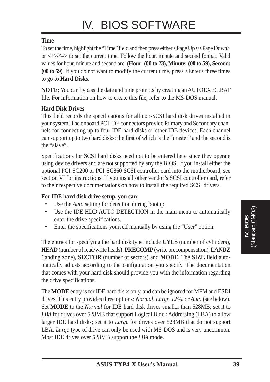#### **Time**

To set the time, highlight the "Time" field and then press either <Page Up>/<Page Down> or  $\langle + \rangle$   $\langle - \rangle$  to set the current time. Follow the hour, minute and second format. Valid values for hour, minute and second are: **(Hour: (00 to 23), Minute: (00 to 59), Second: (00 to 59).** If you do not want to modify the current time, press <Enter> three times to go to **Hard Disks**.

**NOTE:** You can bypass the date and time prompts by creating an AUTOEXEC.BAT file. For information on how to create this file, refer to the MS-DOS manual.

#### **Hard Disk Drives**

This field records the specifications for all non-SCSI hard disk drives installed in your system. The onboard PCI IDE connectors provide Primary and Secondary channels for connecting up to four IDE hard disks or other IDE devices. Each channel can support up to two hard disks; the first of which is the "master" and the second is the "slave".

Specifications for SCSI hard disks need not to be entered here since they operate using device drivers and are not supported by any the BIOS. If you install either the optional PCI-SC200 or PCI-SC860 SCSI controller card into the motherboard, see section VI for instructions. If you install other vendor's SCSI controller card, refer to their respective documentations on how to install the required SCSI drivers.

#### **For IDE hard disk drive setup, you can:**

- Use the *Auto* setting for detection during bootup.
- Use the IDE HDD AUTO DETECTION in the main menu to automatically enter the drive specifications.
- Enter the specifications yourself manually by using the "User" option.

The entries for specifying the hard disk type include **CYLS** (number of cylinders), **HEAD** (number of read/write heads), **PRECOMP** (write precompensation), **LANDZ** (landing zone), **SECTOR** (number of sectors) and **MODE**. The **SIZE** field automatically adjusts according to the configuration you specify. The documentation that comes with your hard disk should provide you with the information regarding the drive specifications.

The **MODE** entry is for IDE hard disks only, and can be ignored for MFM and ESDI drives. This entry provides three options: *Normal, Large, LBA*, or *Auto* (see below). Set **MODE** to the *Normal* for IDE hard disk drives smaller than 528MB; set it to *LBA* for drives over 528MB that support Logical Block Addressing (LBA) to allow larger IDE hard disks; set it to *Large* for drives over 528MB that do not support LBA. *Large* type of drive can only be used with MS-DOS and is very uncommon. Most IDE drives over 528MB support the *LBA* mode.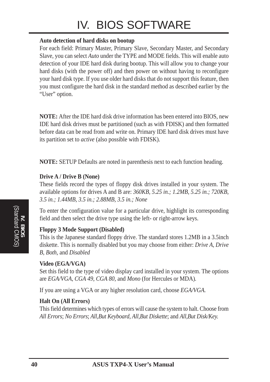# IV. BIOS SOFTWARE

#### **Auto detection of hard disks on bootup**

For each field: Primary Master, Primary Slave, Secondary Master, and Secondary Slave, you can select *Auto* under the TYPE and MODE fields. This will enable auto detection of your IDE hard disk during bootup. This will allow you to change your hard disks (with the power off) and then power on without having to reconfigure your hard disk type. If you use older hard disks that do not support this feature, then you must configure the hard disk in the standard method as described earlier by the "User" option.

**NOTE:** After the IDE hard disk drive information has been entered into BIOS, new IDE hard disk drives must be partitioned (such as with FDISK) and then formatted before data can be read from and write on. Primary IDE hard disk drives must have its partition set to *active* (also possible with FDISK).

**NOTE:** SETUP Defaults are noted in parenthesis next to each function heading.

#### **Drive A / Drive B (None)**

These fields record the types of floppy disk drives installed in your system. The available options for drives A and B are: *360KB, 5.25 in.; 1.2MB, 5.25 in.; 720KB, 3.5 in.; 1.44MB, 3.5 in.; 2.88MB, 3.5 in.; None*

To enter the configuration value for a particular drive, highlight its corresponding field and then select the drive type using the left- or right-arrow keys.

#### **Floppy 3 Mode Support (Disabled)**

This is the Japanese standard floppy drive. The standard stores 1.2MB in a 3.5inch diskette. This is normally disabled but you may choose from either: *Drive A*, *Drive B*, *Both*, and *Disabled*

#### **Video (EGA/VGA)**

Set this field to the type of video display card installed in your system. The options are *EGA/VGA*, *CGA 49*, *CGA 80*, and *Mono* (for Hercules or MDA)*.*

If you are using a VGA or any higher resolution card, choose *EGA/VGA*.

#### **Halt On (All Errors)**

This field determines which types of errors will cause the system to halt. Choose from *All Errors*; *No Errors*; *All*,*But Keyboard, All*,*But Diskette*; and *All,But Disk/Key.*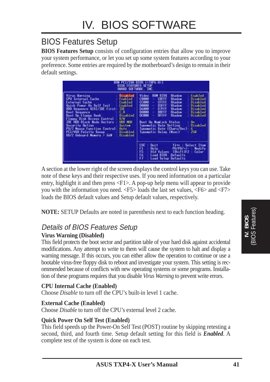### BIOS Features Setup

**BIOS Features Setup** consists of configuration entries that allow you to improve your system performance, or let you set up some system features according to your preference. Some entries are required by the motherboard's design to remain in their default settings.

| BIOS FEATURES SETUP<br>AWARD SOFTWARE, INC.                                                                                                                                                                                                                                                                                                                                                                                                                                                                                | HDM PCE/ISA BIOS ( <ixpl-x>)</ixpl-x>                                                                                                                                                                                                                                                                                                                                                                                                                                                                                                     |
|----------------------------------------------------------------------------------------------------------------------------------------------------------------------------------------------------------------------------------------------------------------------------------------------------------------------------------------------------------------------------------------------------------------------------------------------------------------------------------------------------------------------------|-------------------------------------------------------------------------------------------------------------------------------------------------------------------------------------------------------------------------------------------------------------------------------------------------------------------------------------------------------------------------------------------------------------------------------------------------------------------------------------------------------------------------------------------|
| Disabled<br>Virus Marning<br>Enabled<br>CPU Internal Cache<br><b>External Cache</b><br>Enabled<br><b>Suick Power On Salf Test</b><br>Enabled<br>HDD Sequence SCSI/IDE First<br>TBE<br>C.R.<br><b>Boot Sequence</b><br>Disabled<br>Boot to Floppy Seek<br>Floppy Disk Recess Control<br><b>B/W</b><br><b>IDE HDD Block Mode Sectors</b><br>HDD MEDE<br>Security Option<br>Sustem<br><b>PS/2 Mouse Function Control:</b><br><b>Huto</b><br><b>PCL/VGR Palette Snoop</b><br>Disabled<br>OS/2 Onboard Newory 2 64M<br>Disabled | <b>RON 810S</b><br>Enabled<br>Video<br>Shadow<br>03008<br>CBLEE<br><b>Shadow</b><br>Disabled<br>CFFFF<br>00000<br>Disabled<br><b>Shadow</b><br>۰<br><b>D3FFF</b><br>00000<br>Disabled<br>۰<br><b>Shadow</b><br>0711<br><b>DARNIE</b><br><b>Disabled</b><br>Shadow<br>۰<br><b>DBITT</b><br>08080<br>Disabled<br><b>Shadow</b><br>$\sim$<br>00888<br>DEEFE<br>Disabled<br>Shadow<br><b>Boot Up MinLock Status</b><br>Un.<br>Tupematic Rate Setting<br>Disabled<br>(voematic Rate (Chars/Sec):<br>6.<br>250<br><b>Typematic Delay (Msec)</b> |
|                                                                                                                                                                                                                                                                                                                                                                                                                                                                                                                            | ESC<br>$0$ ui 1<br>Time : Select Item<br>昆<br>PU/PD/+/+  <br>Help<br><b>Modify</b><br>(ShitE)E2<br><b>Old Values</b><br>Color<br>56<br>Lond BIOS<br>Defaults<br>F7<br>Load Setup Defaults                                                                                                                                                                                                                                                                                                                                                 |

A section at the lower right of the screen displays the control keys you can use. Take note of these keys and their respective uses. If you need information on a particular entry, highlight it and then press <F1>. A pop-up help menu will appear to provide you with the information you need. <F5> loads the last set values, <F6> and <F7> loads the BIOS default values and Setup default values, respectively.

**NOTE:** SETUP Defaults are noted in parenthesis next to each function heading.

### Details of BIOS Features Setup

#### **Virus Warning (Disabled)**

This field protects the boot sector and partition table of your hard disk against accidental modifications. Any attempt to write to them will cause the system to halt and display a warning message. If this occurs, you can either allow the operation to continue or use a bootable virus-free floppy disk to reboot and investigate your system. This setting is recommended because of conflicts with new operating systems or some programs. Installation of these programs requires that you disable *Virus Warning* to prevent write errors.

#### **CPU Internal Cache (Enabled)**

Choose *Disable* to turn off the CPU's built-in level 1 cache.

#### **External Cache (Enabled)**

Choose *Disable* to turn off the CPU's external level 2 cache.

#### **Quick Power On Self Test (Enabled)**

This field speeds up the Power-On Self Test (POST) routine by skipping retesting a second, third, and fourth time. Setup default setting for this field is *Enabled*. A complete test of the system is done on each test.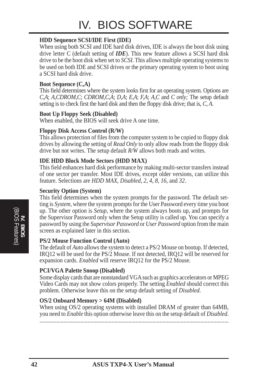# IV. BIOS SOFTWARE

#### **HDD Sequence SCSI/IDE First (IDE)**

When using both SCSI and IDE hard disk drives, IDE is always the boot disk using drive letter C (default setting of *IDE*). This new feature allows a SCSI hard disk drive to be the boot disk when set to *SCSI*. This allows multiple operating systems to be used on both IDE and SCSI drives or the primary operating system to boot using a SCSI hard disk drive.

#### **Boot Sequence (C,A)**

This field determines where the system looks first for an operating system. Options are *C,A*; *A,CDROM,C*; *CDROM,C,A*; *D,A*; *E,A*; *F,A*; *A,C* and *C only;* The setup default setting is to check first the hard disk and then the floppy disk drive; that is, *C, A*.

#### **Boot Up Floppy Seek (Disabled)**

When enabled, the BIOS will seek drive A one time.

#### **Floppy Disk Access Control (R/W)**

This allows protection of files from the computer system to be copied to floppy disk drives by allowing the setting of *Read Only* to only allow reads from the floppy disk drive but not writes. The setup default *R/W* allows both reads and writes.

#### **IDE HDD Block Mode Sectors (HDD MAX)**

This field enhances hard disk performance by making multi-sector transfers instead of one sector per transfer. Most IDE drives, except older versions, can utilize this feature. Selections are *HDD MAX*, *Disabled*, *2*, *4*, *8*, *16*, and *32*.

#### **Security Option (System)**

This field determines when the system prompts for the password. The default setting is *System*, where the system prompts for the User Password every time you boot up. The other option is *Setup*, where the system always boots up, and prompts for the Supervisor Password only when the Setup utility is called up. You can specify a password by using the *Supervisor Password* or *User Password* option from the main screen as explained later in this section.

#### **PS/2 Mouse Function Control (Auto)**

The default of *Auto* allows the system to detect a PS/2 Mouse on bootup. If detected, IRQ12 will be used for the PS/2 Mouse. If not detected, IRQ12 will be reserved for expansion cards. *Enabled* will reserve IRQ12 for the PS/2 Mouse.

#### **PCI/VGA Palette Snoop (Disabled)**

Some display cards that are nonstandard VGA such as graphics accelerators or MPEG Video Cards may not show colors properly. The setting *Enabled* should correct this problem. Otherwise leave this on the setup default setting of *Disabled*.

#### **OS/2 Onboard Memory > 64M (Disabled)**

When using OS/2 operating systems with installed DRAM of greater than 64MB, you need to *Enable* this option otherwise leave this on the setup default of *Disabled*.

......................................................................................................................................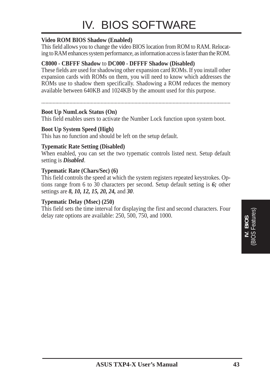# IV. BIOS SOFTWARE

#### **Video ROM BIOS Shadow (Enabled)**

This field allows you to change the video BIOS location from ROM to RAM. Relocating to RAM enhances system performance, as information access is faster than the ROM.

#### **C8000 - CBFFF Shadow** to **DC000 - DFFFF Shadow (Disabled)**

These fields are used for shadowing other expansion card ROMs. If you install other expansion cards with ROMs on them, you will need to know which addresses the ROMs use to shadow them specifically. Shadowing a ROM reduces the memory available between 640KB and 1024KB by the amount used for this purpose.

#### ......................................................................................................................................

#### **Boot Up NumLock Status (On)**

This field enables users to activate the Number Lock function upon system boot.

#### **Boot Up System Speed (High)**

This has no function and should be left on the setup default.

#### **Typematic Rate Setting (Disabled)**

When enabled, you can set the two typematic controls listed next. Setup default setting is *Disabled*.

#### **Typematic Rate (Chars/Sec) (6)**

This field controls the speed at which the system registers repeated keystrokes. Options range from 6 to 30 characters per second. Setup default setting is *6;* other settings are *8, 10, 12, 15, 20, 24,* and *30*.

#### **Typematic Delay (Msec) (250)**

This field sets the time interval for displaying the first and second characters. Four delay rate options are available: 250, 500, 750, and 1000.

**IV. BIOS** (BIOS Features)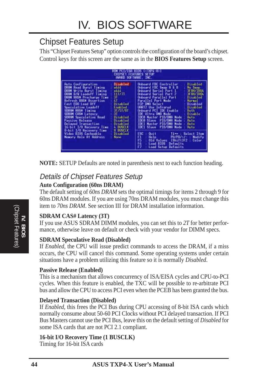## Chipset Features Setup

This "Chipset Features Setup" option controls the configuration of the board's chipset. Control keys for this screen are the same as in the **BIOS Features Setup** screen.

| ном                                                                                                                                                                                                                                                                                                                                                                                                                                                                                                                                                                                          | PC1/15B B10S (<1XP4-X>1<br>CHIPSET FEATURES SETUP<br>AWARD SOFTWARE INC.                                                                                                                                                                                                                                                                                                                                                                                                                                                                                                                                                  |
|----------------------------------------------------------------------------------------------------------------------------------------------------------------------------------------------------------------------------------------------------------------------------------------------------------------------------------------------------------------------------------------------------------------------------------------------------------------------------------------------------------------------------------------------------------------------------------------------|---------------------------------------------------------------------------------------------------------------------------------------------------------------------------------------------------------------------------------------------------------------------------------------------------------------------------------------------------------------------------------------------------------------------------------------------------------------------------------------------------------------------------------------------------------------------------------------------------------------------------|
| Disabled<br><b>Rulo Configuration</b><br>DRAM Read Burst Timing<br><b>SAGA</b><br>maaa<br><b>DRAM Write Burst Timing</b><br>111/71<br>DRIM R/W Leadoff Timing<br>DOOM RASH Precharge Time<br>래<br>Refresh RASH Assertion<br>Disabled<br>Fast EDD Lead Off<br>Sporulative Landoff<br>Enabled <sup>1</sup><br>SORIM RRSH Timing<br>31751781<br>SDRSH CASH Latency<br>SDRAM Speculative Head<br>Uisabled<br>Passive Release <b>Committee</b><br><b>Disabled</b><br>Disubled<br>Delayed Transaction<br><b>4 BUSCLK</b><br>16 bit I/O Necovery Time<br>8-bit I/O Recovery Time<br><b>B BISCLK</b> | <b>Onboard FDC Controller</b><br><b>Disabled</b><br><b>Onboard FDC Swap R &amp; B</b><br>No. Swep<br><b>Onboard Serial Port 1</b><br><b>JERNATROA</b><br>Onboard Serial Part 2<br><b>SFON/TROA</b><br>Onboard Parallel Part<br><b>Bisabled</b><br>Parallel Port Mode<br>Normal<br>ECP DMA Select<br>UNRT2 Use Infrared<br>Disabled<br><b>Uisabled</b><br><b>Orboard PCI IDE Enable</b><br>Bu th<br>IDE Ultra DNA Mode<br>Disable<br>IDE0 Master PIO/OMH Mode<br><b>Huto</b><br><b>IDEO Slave PIO/DNR Mode</b><br><b>Huto</b><br><b>IDE1 Master PIO/OMN Mode</b><br>listo<br><b>TOET Slave PIO/ONR Mode</b><br><b>Buto</b> |
| Video BIOS Cacheable<br>Disabled<br>Memory Hole At Address<br>None:                                                                                                                                                                                                                                                                                                                                                                                                                                                                                                                          | ESC<br>$0$ uit<br>Time : Select Item<br>Fl<br>Help.<br>PU/PD/+/+  <br><b>Modify</b><br>F5<br>01d Values (Shift)F2 +<br>Color<br>56<br>Loud BIOS<br>Defaults.<br>F7<br>Load Setup Defaults                                                                                                                                                                                                                                                                                                                                                                                                                                 |

**NOTE:** SETUP Defaults are noted in parenthesis next to each function heading.

#### Details of Chipset Features Setup **Auto Configuration (60ns DRAM)**

The default setting of *60ns DRAM* sets the optimal timings for items 2 through 9 for 60ns DRAM modules. If you are using 70ns DRAM modules, you must change this item to *70ns DRAM*. See section III for DRAM installation information.

#### **SDRAM CAS# Latency (3T)**

If you use ASUS SDRAM DIMM modules, you can set this to *2T* for better performance, otherwise leave on default or check with your vendor for DIMM specs.

#### **SDRAM Speculative Read (Disabled)**

If *Enabled*, the CPU will issue predict commands to access the DRAM, if a miss occurs, the CPU will cancel this command. Some operating systems under certain situations have a problem utilizing this feature so it is normally *Disabled*.

#### **Passive Release (Enabled)**

This is a mechanism that allows concurrency of ISA/EISA cycles and CPU-to-PCI cycles. When this feature is enabled, the TXC will be possible to re-arbitrate PCI bus and allow the CPU to access PCI even when the PCEB has been granted the bus.

#### **Delayed Transaction (Disabled)**

If *Enabled*, this frees the PCI Bus during CPU accessing of 8-bit ISA cards which normally consume about 50-60 PCI Clocks without PCI delayed transaction. If PCI Bus Masters cannot use the PCI Bus, leave this on the default setting of *Disabled* for some ISA cards that are not PCI 2.1 compliant.

#### **16-bit I/O Recovery Time (1 BUSCLK)**

Timing for 16-bit ISA cards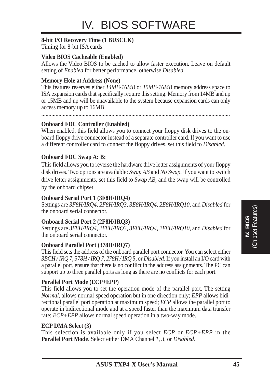#### **8-bit I/O Recovery Time (1 BUSCLK)**

Timing for 8-bit ISA cards

#### **Video BIOS Cacheable (Enabled)**

Allows the Video BIOS to be cached to allow faster execution. Leave on default setting of *Enabled* for better performance, otherwise *Disabled*.

#### **Memory Hole at Address (None)**

This features reserves either *14MB-16MB* or *15MB-16MB* memory address space to ISA expansion cards that specifically require this setting. Memory from 14MB and up or 15MB and up will be unavailable to the system because expansion cards can only access memory up to 16MB.

....................................................................................................................................

**Onboard FDC Controller (Enabled)**

When enabled, this field allows you to connect your floppy disk drives to the onboard floppy drive connector instead of a separate controller card. If you want to use a different controller card to connect the floppy drives, set this field to *Disabled*.

#### **Onboard FDC Swap A: B:**

This field allows you to reverse the hardware drive letter assignments of your floppy disk drives. Two options are available: *Swap AB* and *No Swap*. If you want to switch drive letter assignments, set this field to *Swap AB*, and the swap will be controlled by the onboard chipset.

#### **Onboard Serial Port 1 (3F8H/IRQ4)**

Settings are *3F8H/IRQ4*, *2F8H/IRQ3, 3E8H/IRQ4, 2E8H/IRQ10,* and *Disabled* for the onboard serial connector.

#### **Onboard Serial Port 2 (2F8H/IRQ3)**

Settings are *3F8H/IRQ4, 2F8H/IRQ3*, *3E8H/IRQ4, 2E8H/IRQ10,* and *Disabled* for the onboard serial connector.

#### **Onboard Parallel Port (378H/IRQ7)**

This field sets the address of the onboard parallel port connector. You can select either *3BCH / IRQ 7*, *378H / IRQ 7*, *278H / IRQ 5*, or *Disabled.* If you install an I/O card with a parallel port, ensure that there is no conflict in the address assignments. The PC can support up to three parallel ports as long as there are no conflicts for each port.

#### **Parallel Port Mode (ECP+EPP)**

This field allows you to set the operation mode of the parallel port. The setting *Normal*, allows normal-speed operation but in one direction only; *EPP* allows bidirectional parallel port operation at maximum speed; *ECP* allows the parallel port to operate in bidirectional mode and at a speed faster than the maximum data transfer rate; *ECP+EPP* allows normal speed operation in a two-way mode.

#### **ECP DMA Select (3)**

This selection is available only if you select *ECP* or *ECP+EPP* in the **Parallel Port Mode**. Select either DMA Channel *1, 3*, or *Disabled*.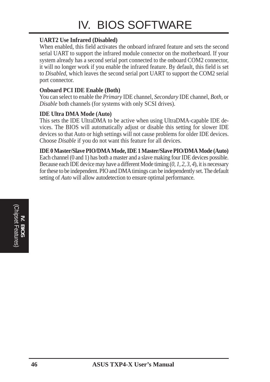#### **UART2 Use Infrared (Disabled)**

When enabled, this field activates the onboard infrared feature and sets the second serial UART to support the infrared module connector on the motherboard. If your system already has a second serial port connected to the onboard COM2 connector, it will no longer work if you enable the infrared feature. By default, this field is set to *Disabled*, which leaves the second serial port UART to support the COM2 serial port connector.

#### **Onboard PCI IDE Enable (Both)**

You can select to enable the *Primary* IDE channel, *Secondary* IDE channel, *Both*, or *Disable* both channels (for systems with only SCSI drives).

#### **IDE Ultra DMA Mode (Auto)**

This sets the IDE UltraDMA to be active when using UltraDMA-capable IDE devices. The BIOS will automatically adjust or disable this setting for slower IDE devices so that Auto or high settings will not cause problems for older IDE devices. Choose *Disable* if you do not want this feature for all devices.

#### **IDE 0 Master/Slave PIO/DMA Mode, IDE 1 Master/Slave PIO/DMA Mode (Auto)**

Each channel (0 and 1) has both a master and a slave making four IDE devices possible. Because each IDE device may have a different Mode timing (*0, 1, 2, 3, 4*), it is necessary for these to be independent. PIO and DMA timings can be independently set. The default setting of *Auto* will allow autodetection to ensure optimal performance.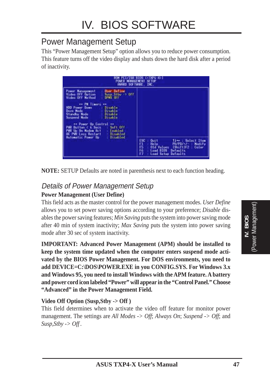### Power Management Setup

This "Power Management Setup" option allows you to reduce power consumption. This feature turns off the video display and shuts down the hard disk after a period of inactivity.

| POWER HANNGENENT SETUP<br>AWARD SOFTWARE, INC.                                                                                                                                                                                                                | -XX 1                                                                                                                                                                                    |
|---------------------------------------------------------------------------------------------------------------------------------------------------------------------------------------------------------------------------------------------------------------|------------------------------------------------------------------------------------------------------------------------------------------------------------------------------------------|
| User Define<br><b>Power Management</b><br>Susp. Sthe DFF<br>Video Off Dation<br>Video Off Nethod<br><b>TIPAS ULL</b><br>** PM Timers **<br>HDD Power Down<br>+ Disable<br>Doze Mode<br>: Disable<br>Standby Node<br>Disable<br>Disable<br><b>Suspend Node</b> |                                                                                                                                                                                          |
| ** Power Up Control<br>-<br><b>PWR Button C &amp; Secs</b><br>Seft Off<br><b>PWR tip On Nodes Rct</b><br><b>Enabled</b><br>AC 戸駅 Loss Restart<br><b>Uisabled</b><br><b>Butomatic Power Up</b><br>Disabled                                                     | ESC<br>$0$ uit<br>Time : Select Item<br>日报<br>Help <sup>1</sup><br>PU/PD/+/+<br><b>Madify</b><br>Old Values (Shift)F2<br><b>Color</b><br>Lond BIOS Defaults<br>F7<br>Load Setup Defaults |

**NOTE:** SETUP Defaults are noted in parenthesis next to each function heading.

### Details of Power Management Setup

#### **Power Management (User Define)**

This field acts as the master control for the power management modes. *User Define* allows you to set power saving options according to your preference; *Disable* disables the power saving features; *Min Saving* puts the system into power saving mode after 40 min of system inactivity; *Max Saving* puts the system into power saving mode after 30 sec of system inactivity.

**IMPORTANT: Advanced Power Management (APM) should be installed to keep the system time updated when the computer enters suspend mode activated by the BIOS Power Management. For DOS environments, you need to add DEVICE=C:\DOS\POWER.EXE in you CONFIG.SYS. For Windows 3.x and Windows 95, you need to install Windows with the APM feature. A battery and power cord icon labeled "Power" will appear in the "Control Panel." Choose "Advanced" in the Power Management Field.**

#### **Video Off Option (Susp,Stby -> Off )**

This field determines when to activate the video off feature for monitor power management. The settings are *All Modes -> Off*; *Always On*; *Suspend -> Off*; and *Susp,Stby -> Off .*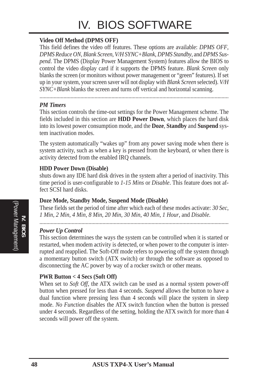# IV. BIOS SOFTWARE

#### **Video Off Method (DPMS OFF)**

This field defines the video off features. These options are available: *DPMS OFF*, *DPMS Reduce ON*, *Blank Screen*, *V/H SYNC+Blank*, *DPMS Standby*, and *DPMS Suspend*. The DPMS (Display Power Management System) features allow the BIOS to control the video display card if it supports the DPMS feature. *Blank Screen* only blanks the screen (or monitors without power management or "green" features). If set up in your system, your screen saver will not display with *Blank Screen* selected). *V/H SYNC+Blank* blanks the screen and turns off vertical and horizontal scanning.

......................................................................................................................................

#### *PM Timers*

This section controls the time-out settings for the Power Management scheme. The fields included in this section are **HDD Power Down**, which places the hard disk into its lowest power consumption mode, and the **Doze**, **Standby** and **Suspend** system inactivation modes.

The system automatically "wakes up" from any power saving mode when there is system activity, such as when a key is pressed from the keyboard, or when there is activity detected from the enabled IRQ channels.

#### **HDD Power Down (Disable)**

shuts down any IDE hard disk drives in the system after a period of inactivity. This time period is user-configurable to *1-15 Mins* or *Disable*. This feature does not affect SCSI hard disks.

#### **Doze Mode, Standby Mode, Suspend Mode (Disable)**

These fields set the period of time after which each of these modes activate: *30 Sec*, *1 Min*, *2 Min*, *4 Min*, *8 Min*, *20 Min*, *30 Min*, *40 Min*, *1 Hour*, and *Disable*.

#### *Power Up Control*

This section determines the ways the system can be controlled when it is started or restarted, when modem activity is detected, or when power to the computer is interrupted and reapplied. The Soft-Off mode refers to powering off the system through a momentary button switch (ATX switch) or through the software as opposed to disconnecting the AC power by way of a rocker switch or other means.

#### **PWR Button < 4 Secs (Soft Off)**

When set to *Soft Off*, the ATX switch can be used as a normal system power-off button when pressed for less than 4 seconds. *Suspend* allows the button to have a dual function where pressing less than 4 seconds will place the system in sleep mode. *No Function* disables the ATX switch function when the button is pressed under 4 seconds. Regardless of the setting, holding the ATX switch for more than 4 seconds will power off the system.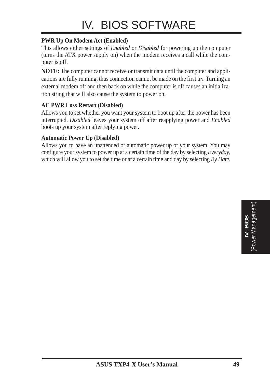# IV. BIOS SOFTWARE

#### **PWR Up On Modem Act (Enabled)**

This allows either settings of *Enabled* or *Disabled* for powering up the computer (turns the ATX power supply on) when the modem receives a call while the computer is off.

**NOTE:** The computer cannot receive or transmit data until the computer and applications are fully running, thus connection cannot be made on the first try. Turning an external modem off and then back on while the computer is off causes an initialization string that will also cause the system to power on.

#### **AC PWR Loss Restart (Disabled)**

Allows you to set whether you want your system to boot up after the power has been interrupted. *Disabled* leaves your system off after reapplying power and *Enabled* boots up your system after replying power.

#### **Automatic Power Up (Disabled)**

Allows you to have an unattended or automatic power up of your system. You may configure your system to power up at a certain time of the day by selecting *Everyday*, which will allow you to set the time or at a certain time and day by selecting *By Date.*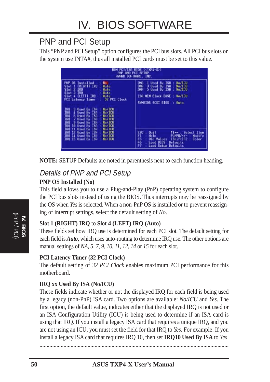## PNP and PCI Setup

This "PNP and PCI Setup" option configures the PCI bus slots. All PCI bus slots on the system use INTA#, thus all installed PCI cards must be set to this value.

|                                                                                                                                                                                                                                                                                                                                                                                                                                                                            | HOM PCI/ISA BIOS ( <inpa-x>)<br/>PNP AND PCI SETUP.<br/>AWARD SOFTWARE, INC.</inpa-x>                                                                                                                |
|----------------------------------------------------------------------------------------------------------------------------------------------------------------------------------------------------------------------------------------------------------------------------------------------------------------------------------------------------------------------------------------------------------------------------------------------------------------------------|------------------------------------------------------------------------------------------------------------------------------------------------------------------------------------------------------|
| <b>FWP 0S</b><br>Installed<br>No<br><b>Huto</b><br>Slot 1<br>(RIGHT) IRD<br><b>Slot 2 IRD</b><br><b>Hutu</b><br>Slot 3 120<br>Huto<br>A (LEFT) TRO<br>Sint<br>Butm<br>32 PCI Clock<br><b>PCI Latency Timer</b><br>No/TED<br>1903<br>3 Used By ISR<br>葛夏夏夏夏<br><b>ISR</b><br>No./ LCD<br>4 Used By<br>5 Used Bo ISA<br>No/TCU<br>7 Used By ISB<br>No/TCU<br><b>TSA</b><br>No/TCH<br>9 Ilsed By<br><b>ISA</b><br>No. ICU<br>10 Used By<br>ISH<br>IRO<br>11 Used By<br>No/TCU | 1 Used By ISB<br>No/TED<br><b>UMH</b><br>DMA<br>3 Used By ISB<br>No/TED<br>5 Used By ISR<br>No/TEU<br>DNA<br><b>ISO HEN Block BRSE</b><br><b>Bu/TEIL</b><br>SVMBIOS SCSI BIOS<br>: Ruto              |
| IRO 12 Used By ISR<br>No/ICU<br>180 14 Used By<br><b>ISB</b><br>No./TCU<br>INO 15 Used By ISA<br>No/ICU                                                                                                                                                                                                                                                                                                                                                                    | ESC<br>Oui <sub>1</sub><br>Time : Select Item<br>Ð<br>PU/PD/+/+  <br>Help<br>Modify<br>F5<br>(Shift)F2<br><b>Old Values</b><br>Color<br>56<br>Loud BIOS<br>Defaults.<br>F7<br>Load Setup<br>Dafaults |

**NOTE:** SETUP Defaults are noted in parenthesis next to each function heading.

#### Details of PNP and PCI Setup **PNP OS Installed (No)**

This field allows you to use a Plug-and-Play (PnP) operating system to configure the PCI bus slots instead of using the BIOS. Thus interrupts may be reassigned by the OS when *Yes* is selected. When a non-PnP OS is installed or to prevent reassigning of interrupt settings, select the default setting of *No*.

#### **Slot 1 (RIGHT) IRQ** to **Slot 4 (LEFT) IRQ (Auto)**

These fields set how IRQ use is determined for each PCI slot. The default setting for each field is *Auto*, which uses auto-routing to determine IRQ use. The other options are manual settings of *NA, 5, 7, 9, 10, 11, 12, 14* or *15* for each slot.

#### **PCI Latency Timer (32 PCI Clock)**

The default setting of *32 PCI Clock* enables maximum PCI performance for this motherboard.

#### **IRQ xx Used By ISA (No/ICU)**

These fields indicate whether or not the displayed IRQ for each field is being used by a legacy (non-PnP) ISA card. Two options are available: *No/ICU* and *Yes*. The first option, the default value, indicates either that the displayed IRQ is not used or an ISA Configuration Utility (ICU) is being used to determine if an ISA card is using that IRQ. If you install a legacy ISA card that requires a unique IRQ, and you are not using an ICU, you must set the field for that IRQ to *Yes*. For example: If you install a legacy ISA card that requires IRQ 10, then set **IRQ10 Used By ISA** to *Yes*.

**IV. BIOS** (PnP / PCI)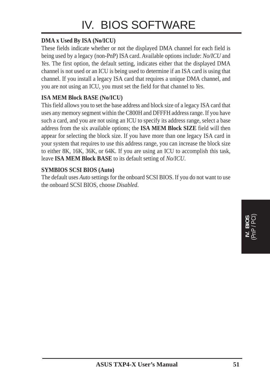#### **DMA x Used By ISA (No/ICU)**

These fields indicate whether or not the displayed DMA channel for each field is being used by a legacy (non-PnP) ISA card. Available options include: *No/ICU* and *Yes*. The first option, the default setting, indicates either that the displayed DMA channel is not used or an ICU is being used to determine if an ISA card is using that channel. If you install a legacy ISA card that requires a unique DMA channel, and you are not using an ICU, you must set the field for that channel to *Yes*.

#### **ISA MEM Block BASE (No/ICU)**

This field allows you to set the base address and block size of a legacy ISA card that uses any memory segment within the C800H and DFFFH address range. If you have such a card, and you are not using an ICU to specify its address range, select a base address from the six available options; the **ISA MEM Block SIZE** field will then appear for selecting the block size. If you have more than one legacy ISA card in your system that requires to use this address range, you can increase the block size to either 8K, 16K, 36K, or 64K. If you are using an ICU to accomplish this task, leave **ISA MEM Block BASE** to its default setting of *No/ICU*.

#### **SYMBIOS SCSI BIOS (Auto)**

The default uses *Auto* settings for the onboard SCSI BIOS. If you do not want to use the onboard SCSI BIOS, choose *Disabled*.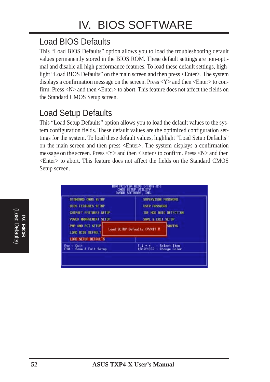## Load BIOS Defaults

This "Load BIOS Defaults" option allows you to load the troubleshooting default values permanently stored in the BIOS ROM. These default settings are non-optimal and disable all high performance features. To load these default settings, highlight "Load BIOS Defaults" on the main screen and then press <Enter>. The system displays a confirmation message on the screen. Press  $\langle Y \rangle$  and then  $\langle$  Enter $\rangle$  to confirm. Press <N> and then <Enter> to abort. This feature does not affect the fields on the Standard CMOS Setup screen.

## Load Setup Defaults

This "Load Setup Defaults" option allows you to load the default values to the system configuration fields. These default values are the optimized configuration settings for the system. To load these default values, highlight "Load Setup Defaults" on the main screen and then press <Enter>. The system displays a confirmation message on the screen. Press <Y> and then <Enter> to confirm. Press <N> and then <Enter> to abort. This feature does not affect the fields on the Standard CMOS Setup screen.

|                                                                                                                                   | (31894-851)<br>CHOS SETUP UTTLITY<br>ANARD SOFTWARE, INC.                                                   |
|-----------------------------------------------------------------------------------------------------------------------------------|-------------------------------------------------------------------------------------------------------------|
| STONDARD CHOS SETUP<br><b>810S FEATURES SETUP</b><br>CHIPSET FEATURES SETUP<br><b>POWER HRNAGEHENT SETUP</b><br>PMP AND PCT SETUP | SUPERVISOR PASSNORD<br><b>USER PASSHORD</b><br>THE HOD RUTO DETECTION<br>SHAT & ERIT SETUP<br><b>SAVING</b> |
| LOAD 810S DEFAULT<br><b>LOOD SETUP DEFAULTS</b>                                                                                   | Load SETUP Defaults (V/N)? V                                                                                |
| <b>Ouit</b><br>Save & Exit Setup<br>F10 :                                                                                         | <b>Select Item</b><br>(Shift)F2 : Change Color                                                              |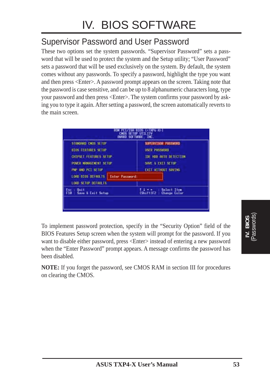## Supervisor Password and User Password

These two options set the system passwords. "Supervisor Password" sets a password that will be used to protect the system and the Setup utility; "User Password" sets a password that will be used exclusively on the system. By default, the system comes without any passwords. To specify a password, highlight the type you want and then press <Enter>. A password prompt appears on the screen. Taking note that the password is case sensitive, and can be up to 8 alphanumeric characters long, type your password and then press <Enter>. The system confirms your password by asking you to type it again. After setting a password, the screen automatically reverts to the main screen.

| STONDARD CHOS SETUP<br><b>810S FEATURES SETUP</b><br>CHIPSET FEATURES SETUP<br><b>POWER NRNAGENENT SETUP</b> | SUPERVISOR PRSSHORD<br><b>USER PASSHORD</b><br>THE HOD AUTO DETECTION   |
|--------------------------------------------------------------------------------------------------------------|-------------------------------------------------------------------------|
| <b>FWP TIMO PCT SETUP</b>                                                                                    | SAVE & EXIT SETUP<br><b>EXIT VITHOUT SAVING</b>                         |
| LORD BIOS DEFAULTS<br><b>Enter Password:</b><br>LOOD SETUP DEFAULTS                                          |                                                                         |
| <b>Ouit</b><br>Save & Exit Setup<br>F10.                                                                     | <b>Select Item</b><br>f ‡ * * . Select Item<br>(Shift]F2 : Change Color |

To implement password protection, specify in the "Security Option" field of the BIOS Features Setup screen when the system will prompt for the password. If you want to disable either password, press <Enter> instead of entering a new password when the "Enter Password" prompt appears. A message confirms the password has been disabled.

**NOTE:** If you forget the password, see CMOS RAM in section III for procedures on clearing the CMOS.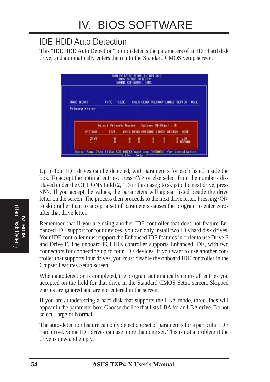### IDE HDD Auto Detection

This "IDE HDD Auto Detection" option detects the parameters of an IDE hard disk drive, and automatically enters them into the Standard CMOS Setup screen.



Up to four IDE drives can be detected, with parameters for each listed inside the box. To accept the optimal entries, press  $\langle Y \rangle$  or else select from the numbers displayed under the OPTIONS field (2, 1, 3 in this case); to skip to the next drive, press  $\langle N \rangle$ . If you accept the values, the parameters will appear listed beside the drive letter on the screen. The process then proceeds to the next drive letter. Pressing <N> to skip rather than to accept a set of parameters causes the program to enter zeros after that drive letter.

Remember that if you are using another IDE controller that does not feature Enhanced IDE support for four devices, you can only install two IDE hard disk drives. Your IDE controller must support the Enhanced IDE features in order to use Drive E and Drive F. The onboard PCI IDE controller supports Enhanced IDE, with two connectors for connecting up to four IDE devices. If you want to use another controller that supports four drives, you must disable the onboard IDE controller in the Chipset Features Setup screen.

When autodetection is completed, the program automatically enters all entries you accepted on the field for that drive in the Standard CMOS Setup screen. Skipped entries are ignored and are not entered in the screen.

If you are autodetecting a hard disk that supports the LBA mode, three lines will appear in the parameter box. Choose the line that lists LBA for an LBA drive. Do not select Large or Normal.

The auto-detection feature can only detect one set of parameters for a particular IDE hard drive. Some IDE drives can use more than one set. This is not a problem if the drive is new and empty.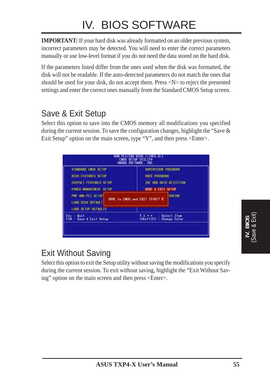# IV. BIOS SOFTWARE

**IMPORTANT:** If your hard disk was already formatted on an older previous system, incorrect parameters may be detected. You will need to enter the correct parameters manually or use low-level format if you do not need the data stored on the hard disk.

If the parameters listed differ from the ones used when the disk was formatted, the disk will not be readable. If the auto-detected parameters do not match the ones that should be used for your disk, do not accept them. Press <N> to reject the presented settings and enter the correct ones manually from the Standard CMOS Setup screen.

## Save & Exit Setup

Select this option to save into the CMOS memory all modifications you specified during the current session. To save the configuration changes, highlight the "Save & Exit Setup" option on the main screen, type "Y", and then press <Enter>.

| STONDARD CHOS SETUP                                                    | SUPERVISOR PRSSNORD                      |
|------------------------------------------------------------------------|------------------------------------------|
| <b>810S FEATURES SETUP</b>                                             | <b>USER PRSSHORD</b>                     |
| CHIPSET FEATURES SETUP                                                 | THE HOD RUTH DETECTION                   |
| <b><i>POWER MANAGEMENT SETUP</i></b>                                   | SAVE & EXIT SETUP                        |
| PMP AND PCT SETUP<br><b>LOAD BIOS DEFINILT</b><br>LOOD SETUP DEFAILERS | SAVING<br>SRVE To CHOS and EXIT (V/N17 V |
| <b>Ouit</b>                                                            | <b>Select Item</b>                       |
| Save & Exit Setup                                                      | (Shift)F2 : Change Color                 |

## Exit Without Saving

Select this option to exit the Setup utility without saving the modifications you specify during the current session. To exit without saving, highlight the "Exit Without Saving" option on the main screen and then press <Enter>.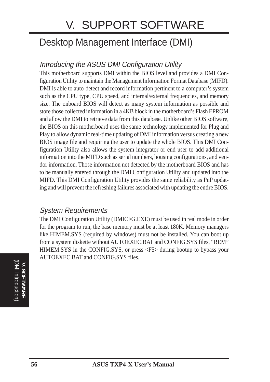# V. SUPPORT SOFTWARE

## Desktop Management Interface (DMI)

### Introducing the ASUS DMI Configuration Utility

This motherboard supports DMI within the BIOS level and provides a DMI Configuration Utility to maintain the Management Information Format Database (MIFD). DMI is able to auto-detect and record information pertinent to a computer's system such as the CPU type, CPU speed, and internal/external frequencies, and memory size. The onboard BIOS will detect as many system information as possible and store those collected information in a 4KB block in the motherboard's Flash EPROM and allow the DMI to retrieve data from this database. Unlike other BIOS software, the BIOS on this motherboard uses the same technology implemented for Plug and Play to allow dynamic real-time updating of DMI information versus creating a new BIOS image file and requiring the user to update the whole BIOS. This DMI Configuration Utility also allows the system integrator or end user to add additional information into the MIFD such as serial numbers, housing configurations, and vendor information. Those information not detected by the motherboard BIOS and has to be manually entered through the DMI Configuration Utility and updated into the MIFD. This DMI Configuration Utility provides the same reliability as PnP updating and will prevent the refreshing failures associated with updating the entire BIOS.

#### System Requirements

The DMI Configuration Utility (DMICFG.EXE) must be used in real mode in order for the program to run, the base memory must be at least 180K. Memory managers like HIMEM.SYS (required by windows) must not be installed. You can boot up from a system diskette without AUTOEXEC.BAT and CONFIG.SYS files, "REM" HIMEM.SYS in the CONFIG.SYS, or press <F5> during bootup to bypass your AUTOEXEC.BAT and CONFIG.SYS files.

(DMI Introductior (DMI Introduction) **V. SOFTWARE**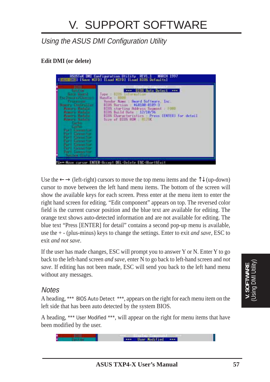# V. SUPPORT SOFTWARE

### Using the ASUS DMI Configuration Utility

#### **Edit DMI (or delete)**



Use the  $\leftarrow \rightarrow$  (left-right) cursors to move the top menu items and the  $\uparrow \downarrow$  (up-down) cursor to move between the left hand menu items. The bottom of the screen will show the available keys for each screen. Press enter at the menu item to enter the right hand screen for editing. "Edit component" appears on top. The reversed color field is the current cursor position and the blue text are available for editing. The orange text shows auto-detected information and are not available for editing. The blue text "Press [ENTER] for detail" contains a second pop-up menu is available, use the + - (plus-minus) keys to change the settings. Enter to exit *and save*, ESC to exit *and not save*.

If the user has made changes, ESC will prompt you to answer Y or N. Enter Y to go back to the left-hand screen *and save*, enter N to go back to left-hand screen and *not save*. If editing has not been made, ESC will send you back to the left hand menu without any messages.

#### **Notes**

A heading, \*\*\* BIOS Auto Detect \*\*\*, appears on the right for each menu item on the left side that has been auto detected by the system BIOS.

A heading, \*\*\* User Modified \*\*\*, will appear on the right for menu items that have been modified by the user.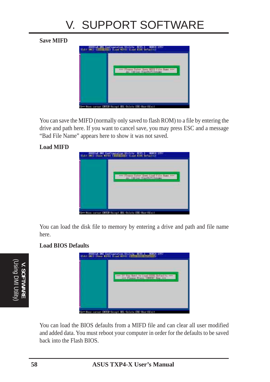# V. SUPPORT SOFTWARE

#### **Save MIFD**



You can save the MIFD (normally only saved to flash ROM) to a file by entering the drive and path here. If you want to cancel save, you may press ESC and a message "Bad File Name" appears here to show it was not saved.

#### **Load MIFD**



You can load the disk file to memory by entering a drive and path and file name here.

#### **Load BIOS Defaults**



You can load the BIOS defaults from a MIFD file and can clear all user modified and added data. You must reboot your computer in order for the defaults to be saved back into the Flash BIOS.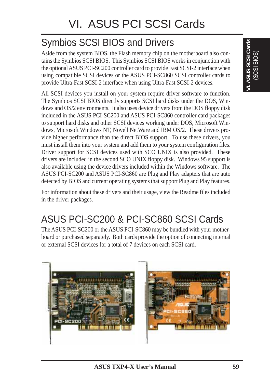## Symbios SCSI BIOS and Drivers

Aside from the system BIOS, the Flash memory chip on the motherboard also contains the Symbios SCSI BIOS. This Symbios SCSI BIOS works in conjunction with the optional ASUS PCI-SC200 controller card to provide Fast SCSI-2 interface when using compatible SCSI devices or the ASUS PCI-SC860 SCSI controller cards to provide Ultra-Fast SCSI-2 interface when using Ultra-Fast SCSI-2 devices.

All SCSI devices you install on your system require driver software to function. The Symbios SCSI BIOS directly supports SCSI hard disks under the DOS, Windows and OS/2 environments. It also uses device drivers from the DOS floppy disk included in the ASUS PCI-SC200 and ASUS PCI-SC860 controller card packages to support hard disks and other SCSI devices working under DOS, Microsoft Windows, Microsoft Windows NT, Novell NetWare and IBM OS/2. These drivers provide higher performance than the direct BIOS support. To use these drivers, you must install them into your system and add them to your system configuration files. Driver support for SCSI devices used with SCO UNIX is also provided. These drivers are included in the second SCO UNIX floppy disk. Windows 95 support is also available using the device drivers included within the Windows software. The ASUS PCI-SC200 and ASUS PCI-SC860 are Plug and Play adapters that are auto detected by BIOS and current operating systems that support Plug and Play features.

For information about these drivers and their usage, view the Readme files included in the driver packages.

# ASUS PCI-SC200 & PCI-SC860 SCSI Cards

The ASUS PCI-SC200 or the ASUS PCI-SC860 may be bundled with your motherboard or purchased separately. Both cards provide the option of connecting internal or external SCSI devices for a total of 7 devices on each SCSI card.

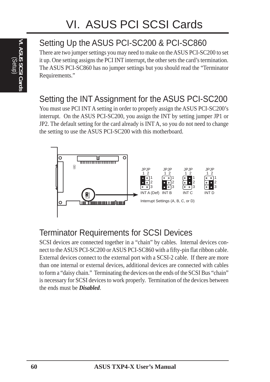## Setting Up the ASUS PCI-SC200 & PCI-SC860

There are two jumper settings you may need to make on the ASUS PCI-SC200 to set it up. One setting assigns the PCI INT interrupt, the other sets the card's termination. The ASUS PCI-SC860 has no jumper settings but you should read the "Terminator Requirements."

## Setting the INT Assignment for the ASUS PCI-SC200

You must use PCI INT A setting in order to properly assign the ASUS PCI-SC200's interrupt. On the ASUS PCI-SC200, you assign the INT by setting jumper JP1 or JP2. The default setting for the card already is INT A, so you do not need to change the setting to use the ASUS PCI-SC200 with this motherboard.



## Terminator Requirements for SCSI Devices

SCSI devices are connected together in a "chain" by cables. Internal devices connect to the ASUS PCI-SC200 or ASUS PCI-SC860 with a fifty-pin flat ribbon cable. External devices connect to the external port with a SCSI-2 cable. If there are more than one internal or external devices, additional devices are connected with cables to form a "daisy chain." Terminating the devices on the ends of the SCSI Bus "chain" is necessary for SCSI devices to work properly. Termination of the devices between the ends must be *Disabled*.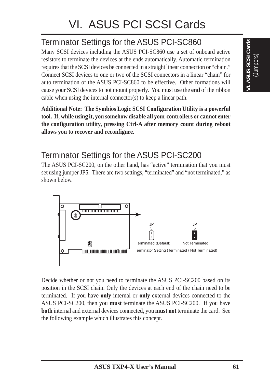## Terminator Settings for the ASUS PCI-SC860

Many SCSI devices including the ASUS PCI-SC860 use a set of onboard active resistors to terminate the devices at the ends automatically. Automatic termination requires that the SCSI devices be connected in a straight linear connection or "chain." Connect SCSI devices to one or two of the SCSI connectors in a linear "chain" for auto termination of the ASUS PCI-SC860 to be effective. Other formations will cause your SCSI devices to not mount properly. You must use the **end** of the ribbon cable when using the internal connector(s) to keep a linear path.

**Additional Note: The Symbios Logic SCSI Configuration Utility is a powerful tool. If, while using it, you somehow disable all your controllers or cannot enter the configuration utility, pressing Ctrl-A after memory count during reboot allows you to recover and reconfigure.**

## Terminator Settings for the ASUS PCI-SC200

The ASUS PCI-SC200, on the other hand, has "active" termination that you must set using jumper JP5. There are two settings, "terminated" and "not terminated," as shown below.



Decide whether or not you need to terminate the ASUS PCI-SC200 based on its position in the SCSI chain. Only the devices at each end of the chain need to be terminated. If you have **only** internal or **only** external devices connected to the ASUS PCI-SC200, then you **must** terminate the ASUS PCI-SC200. If you have **both** internal and external devices connected, you **must not** terminate the card. See the following example which illustrates this concept.